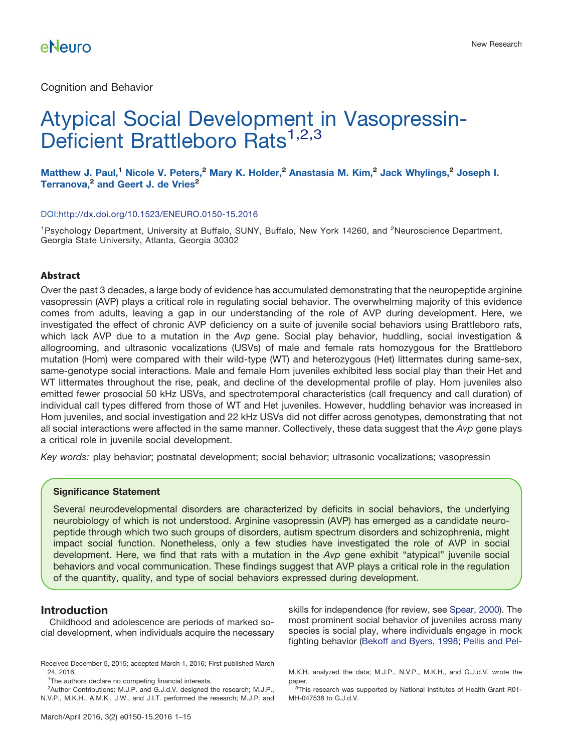Cognition and Behavior

# Atypical Social Development in Vasopressin-Deficient Brattleboro Rats<sup>[1,](#page-0-0)[2,](#page-0-1)[3](#page-0-2)</sup>

**Matthew J. Paul,<sup>1</sup> Nicole V. Peters,<sup>2</sup> Mary K. Holder,<sup>2</sup> Anastasia M. Kim,<sup>2</sup> Jack Whylings,<sup>2</sup> Joseph I. Terranova,<sup>2</sup> and Geert J. de Vries<sup>2</sup>**

#### DOI[:http://dx.doi.org/10.1523/ENEURO.0150-15.2016](http://dx.doi.org/10.1523/ENEURO.0150-15.2016)

<sup>1</sup>Psychology Department, University at Buffalo, SUNY, Buffalo, New York 14260, and <sup>2</sup>Neuroscience Department, Georgia State University, Atlanta, Georgia 30302

#### **Abstract**

Over the past 3 decades, a large body of evidence has accumulated demonstrating that the neuropeptide arginine vasopressin (AVP) plays a critical role in regulating social behavior. The overwhelming majority of this evidence comes from adults, leaving a gap in our understanding of the role of AVP during development. Here, we investigated the effect of chronic AVP deficiency on a suite of juvenile social behaviors using Brattleboro rats, which lack AVP due to a mutation in the *Avp* gene. Social play behavior, huddling, social investigation & allogrooming, and ultrasonic vocalizations (USVs) of male and female rats homozygous for the Brattleboro mutation (Hom) were compared with their wild-type (WT) and heterozygous (Het) littermates during same-sex, same-genotype social interactions. Male and female Hom juveniles exhibited less social play than their Het and WT littermates throughout the rise, peak, and decline of the developmental profile of play. Hom juveniles also emitted fewer prosocial 50 kHz USVs, and spectrotemporal characteristics (call frequency and call duration) of individual call types differed from those of WT and Het juveniles. However, huddling behavior was increased in Hom juveniles, and social investigation and 22 kHz USVs did not differ across genotypes, demonstrating that not all social interactions were affected in the same manner. Collectively, these data suggest that the *Avp* gene plays a critical role in juvenile social development.

*Key words:* play behavior; postnatal development; social behavior; ultrasonic vocalizations; vasopressin

### **Significance Statement**

Several neurodevelopmental disorders are characterized by deficits in social behaviors, the underlying neurobiology of which is not understood. Arginine vasopressin (AVP) has emerged as a candidate neuropeptide through which two such groups of disorders, autism spectrum disorders and schizophrenia, might impact social function. Nonetheless, only a few studies have investigated the role of AVP in social development. Here, we find that rats with a mutation in the *Avp* gene exhibit "atypical" juvenile social behaviors and vocal communication. These findings suggest that AVP plays a critical role in the regulation of the quantity, quality, and type of social behaviors expressed during development.

### **Introduction**

Childhood and adolescence are periods of marked social development, when individuals acquire the necessary

<span id="page-0-1"></span><sup>2</sup>Author Contributions: M.J.P. and G.J.d.V. designed the research; M.J.P., N.V.P., M.K.H., A.M.K., J.W., and J.I.T. performed the research; M.J.P. and skills for independence (for review, see [Spear, 2000\)](#page-14-0). The most prominent social behavior of juveniles across many species is social play, where individuals engage in mock fighting behavior [\(Bekoff and Byers, 1998;](#page-12-0) [Pellis and Pel-](#page-14-1)

<span id="page-0-0"></span>Received December 5, 2015; accepted March 1, 2016; First published March 24, 2016.

<sup>&</sup>lt;sup>1</sup>The authors declare no competing financial interests.

M.K.H. analyzed the data; M.J.P., N.V.P., M.K.H., and G.J.d.V. wrote the paper.

<span id="page-0-2"></span><sup>&</sup>lt;sup>3</sup>This research was supported by National Institutes of Health Grant R01-MH-047538 to G.J.d.V.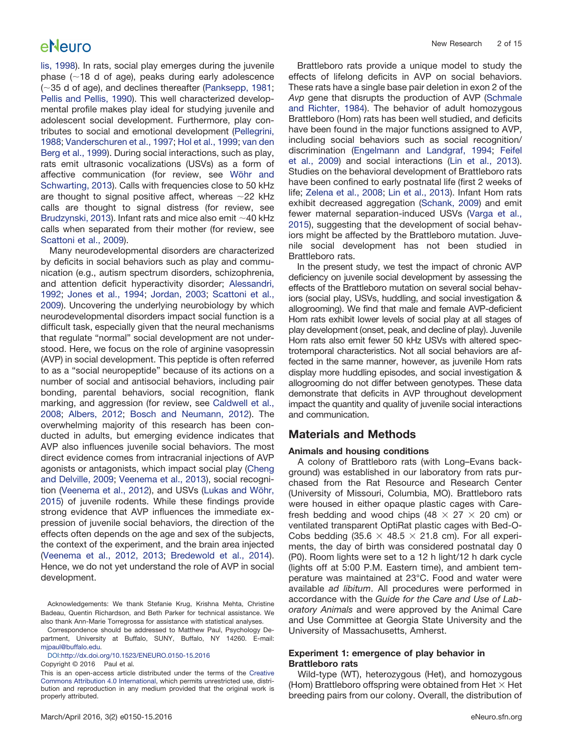[lis, 1998\)](#page-14-1). In rats, social play emerges during the juvenile phase ( $\sim$ 18 d of age), peaks during early adolescence  $(\sim$ 35 d of age), and declines thereafter [\(Panksepp, 1981;](#page-13-0) [Pellis and Pellis, 1990\)](#page-13-1). This well characterized developmental profile makes play ideal for studying juvenile and adolescent social development. Furthermore, play contributes to social and emotional development [\(Pellegrini,](#page-13-2) [1988;](#page-13-2) [Vanderschuren et al., 1997;](#page-14-2) [Hol et al., 1999;](#page-13-3) [van den](#page-14-3) [Berg et al., 1999\)](#page-14-3). During social interactions, such as play, rats emit ultrasonic vocalizations (USVs) as a form of affective communication (for review, see [Wöhr and](#page-14-4) [Schwarting, 2013\)](#page-14-4). Calls with frequencies close to 50 kHz are thought to signal positive affect, whereas  $\sim$ 22 kHz calls are thought to signal distress (for review, see [Brudzynski, 2013\)](#page-13-4). Infant rats and mice also emit  $\sim$ 40 kHz calls when separated from their mother (for review, see [Scattoni et al., 2009\)](#page-14-5).

Many neurodevelopmental disorders are characterized by deficits in social behaviors such as play and communication (e.g., autism spectrum disorders, schizophrenia, and attention deficit hyperactivity disorder; [Alessandri,](#page-12-1) [1992;](#page-12-1) [Jones et al., 1994;](#page-13-5) [Jordan, 2003;](#page-13-6) [Scattoni et al.,](#page-14-5) [2009\)](#page-14-5). Uncovering the underlying neurobiology by which neurodevelopmental disorders impact social function is a difficult task, especially given that the neural mechanisms that regulate "normal" social development are not understood. Here, we focus on the role of arginine vasopressin (AVP) in social development. This peptide is often referred to as a "social neuropeptide" because of its actions on a number of social and antisocial behaviors, including pair bonding, parental behaviors, social recognition, flank marking, and aggression (for review, see [Caldwell et al.,](#page-13-7) [2008;](#page-13-7) [Albers, 2012;](#page-12-2) [Bosch and Neumann, 2012\)](#page-12-3). The overwhelming majority of this research has been conducted in adults, but emerging evidence indicates that AVP also influences juvenile social behaviors. The most direct evidence comes from intracranial injections of AVP agonists or antagonists, which impact social play [\(Cheng](#page-13-8) [and Delville, 2009;](#page-13-8) [Veenema et al., 2013\)](#page-14-6), social recognition [\(Veenema et al., 2012\)](#page-14-7), and USVs [\(Lukas and Wöhr,](#page-13-9) [2015\)](#page-13-9) of juvenile rodents. While these findings provide strong evidence that AVP influences the immediate expression of juvenile social behaviors, the direction of the effects often depends on the age and sex of the subjects, the context of the experiment, and the brain area injected [\(Veenema et al., 2012, 2013;](#page-14-6) [Bredewold et al., 2014\)](#page-12-4). Hence, we do not yet understand the role of AVP in social development.

Acknowledgements: We thank Stefanie Krug, Krishna Mehta, Christine Badeau, Quentin Richardson, and Beth Parker for technical assistance. We also thank Ann-Marie Torregrossa for assistance with statistical analyses.

Correspondence should be addressed to Matthew Paul, Psychology Department, University at Buffalo, SUNY, Buffalo, NY 14260. E-mail: [mjpaul@buffalo.edu.](mailto:mjpaul@buffalo.edu)

DOI[:http://dx.doi.org/10.1523/ENEURO.0150-15.2016](http://dx.doi.org/10.1523/ENEURO.0150-15.2016)

Copyright © 2016 Paul et al.

Brattleboro rats provide a unique model to study the effects of lifelong deficits in AVP on social behaviors. These rats have a single base pair deletion in exon 2 of the *Avp* gene that disrupts the production of AVP [\(Schmale](#page-14-8) [and Richter, 1984\)](#page-14-8). The behavior of adult homozygous Brattleboro (Hom) rats has been well studied, and deficits have been found in the major functions assigned to AVP, including social behaviors such as social recognition/ discrimination [\(Engelmann and Landgraf, 1994;](#page-13-10) [Feifel](#page-13-11) [et al., 2009\)](#page-13-11) and social interactions [\(Lin et al., 2013\)](#page-13-12). Studies on the behavioral development of Brattleboro rats have been confined to early postnatal life (first 2 weeks of life; [Zelena et al., 2008;](#page-14-9) [Lin et al., 2013\)](#page-13-12). Infant Hom rats exhibit decreased aggregation [\(Schank, 2009\)](#page-14-10) and emit fewer maternal separation-induced USVs [\(Varga et al.,](#page-14-11) [2015\)](#page-14-11), suggesting that the development of social behaviors might be affected by the Brattleboro mutation. Juvenile social development has not been studied in Brattleboro rats.

In the present study, we test the impact of chronic AVP deficiency on juvenile social development by assessing the effects of the Brattleboro mutation on several social behaviors (social play, USVs, huddling, and social investigation & allogrooming). We find that male and female AVP-deficient Hom rats exhibit lower levels of social play at all stages of play development (onset, peak, and decline of play). Juvenile Hom rats also emit fewer 50 kHz USVs with altered spectrotemporal characteristics. Not all social behaviors are affected in the same manner, however, as juvenile Hom rats display more huddling episodes, and social investigation & allogrooming do not differ between genotypes. These data demonstrate that deficits in AVP throughout development impact the quantity and quality of juvenile social interactions and communication.

### **Materials and Methods**

#### **Animals and housing conditions**

A colony of Brattleboro rats (with Long–Evans background) was established in our laboratory from rats purchased from the Rat Resource and Research Center (University of Missouri, Columbia, MO). Brattleboro rats were housed in either opaque plastic cages with Carefresh bedding and wood chips (48  $\times$  27  $\times$  20 cm) or ventilated transparent OptiRat plastic cages with Bed-O-Cobs bedding (35.6  $\times$  48.5  $\times$  21.8 cm). For all experiments, the day of birth was considered postnatal day 0 (P0). Room lights were set to a 12 h light/12 h dark cycle (lights off at 5:00 P.M. Eastern time), and ambient temperature was maintained at 23°C. Food and water were available *ad libitum*. All procedures were performed in accordance with the *Guide for the Care and Use of Laboratory Animals* and were approved by the Animal Care and Use Committee at Georgia State University and the University of Massachusetts, Amherst.

### **Experiment 1: emergence of play behavior in Brattleboro rats**

Wild-type (WT), heterozygous (Het), and homozygous (Hom) Brattleboro offspring were obtained from Het  $\times$  Het breeding pairs from our colony. Overall, the distribution of

This is an open-access article distributed under the terms of the [Creative](http://creativecommons.org/licenses/by/4.0/) [Commons Attribution 4.0 International,](http://creativecommons.org/licenses/by/4.0/) which permits unrestricted use, distribution and reproduction in any medium provided that the original work is properly attributed.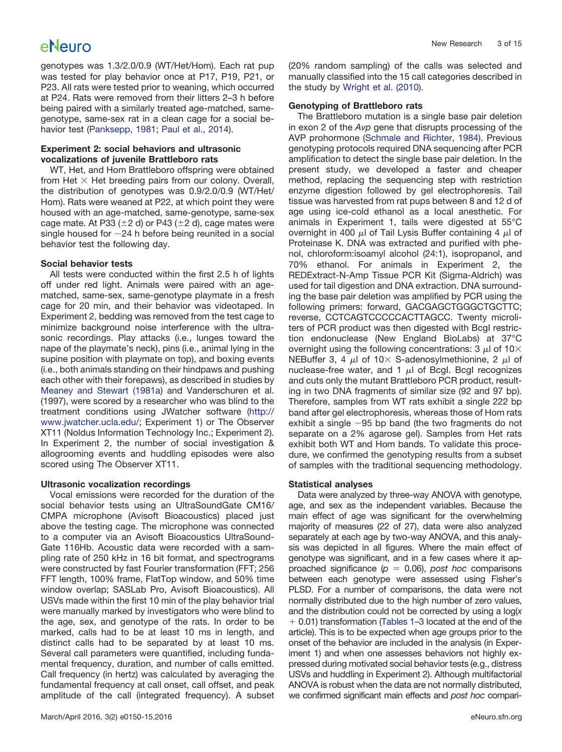genotypes was 1.3/2.0/0.9 (WT/Het/Hom). Each rat pup was tested for play behavior once at P17, P19, P21, or P23. All rats were tested prior to weaning, which occurred at P24. Rats were removed from their litters 2–3 h before being paired with a similarly treated age-matched, samegenotype, same-sex rat in a clean cage for a social behavior test [\(Panksepp, 1981;](#page-13-0) [Paul et al., 2014\)](#page-13-13).

### **Experiment 2: social behaviors and ultrasonic vocalizations of juvenile Brattleboro rats**

WT, Het, and Hom Brattleboro offspring were obtained from Het  $\times$  Het breeding pairs from our colony. Overall, the distribution of genotypes was 0.9/2.0/0.9 (WT/Het/ Hom). Rats were weaned at P22, at which point they were housed with an age-matched, same-genotype, same-sex cage mate. At P33 ( $\pm$ 2 d) or P43 ( $\pm$ 2 d), cage mates were single housed for  ${\sim}$ 24 h before being reunited in a social behavior test the following day.

### **Social behavior tests**

All tests were conducted within the first 2.5 h of lights off under red light. Animals were paired with an agematched, same-sex, same-genotype playmate in a fresh cage for 20 min, and their behavior was videotaped. In Experiment 2, bedding was removed from the test cage to minimize background noise interference with the ultrasonic recordings. Play attacks (i.e., lunges toward the nape of the playmate's neck), pins (i.e., animal lying in the supine position with playmate on top), and boxing events (i.e., both animals standing on their hindpaws and pushing each other with their forepaws), as described in studies by [Meaney and Stewart \(1981a\)](#page-13-14) and Vanderschuren et al. (1997), were scored by a researcher who was blind to the treatment conditions using JWatcher software [\(http://](http://www.jwatcher.ucla.edu/) [www.jwatcher.ucla.edu/;](http://www.jwatcher.ucla.edu/) Experiment 1) or The Observer XT11 (Noldus Information Technology Inc.; Experiment 2). In Experiment 2, the number of social investigation & allogrooming events and huddling episodes were also scored using The Observer XT11.

### **Ultrasonic vocalization recordings**

Vocal emissions were recorded for the duration of the social behavior tests using an UltraSoundGate CM16/ CMPA microphone (Avisoft Bioacoustics) placed just above the testing cage. The microphone was connected to a computer via an Avisoft Bioacoustics UltraSound-Gate 116Hb. Acoustic data were recorded with a sampling rate of 250 kHz in 16 bit format, and spectrograms were constructed by fast Fourier transformation (FFT; 256 FFT length, 100% frame, FlatTop window, and 50% time window overlap; SASLab Pro, Avisoft Bioacoustics). All USVs made within the first 10 min of the play behavior trial were manually marked by investigators who were blind to the age, sex, and genotype of the rats. In order to be marked, calls had to be at least 10 ms in length, and distinct calls had to be separated by at least 10 ms. Several call parameters were quantified, including fundamental frequency, duration, and number of calls emitted. Call frequency (in hertz) was calculated by averaging the fundamental frequency at call onset, call offset, and peak amplitude of the call (integrated frequency). A subset

(20% random sampling) of the calls was selected and manually classified into the 15 call categories described in the study by [Wright et al. \(2010\).](#page-14-12)

### **Genotyping of Brattleboro rats**

The Brattleboro mutation is a single base pair deletion in exon 2 of the *Avp* gene that disrupts processing of the AVP prohormone [\(Schmale and Richter, 1984\)](#page-14-8). Previous genotyping protocols required DNA sequencing after PCR amplification to detect the single base pair deletion. In the present study, we developed a faster and cheaper method, replacing the sequencing step with restriction enzyme digestion followed by gel electrophoresis. Tail tissue was harvested from rat pups between 8 and 12 d of age using ice-cold ethanol as a local anesthetic. For animals in Experiment 1, tails were digested at 55°C overnight in 400  $\mu$ l of Tail Lysis Buffer containing 4  $\mu$ l of Proteinase K. DNA was extracted and purified with phenol, chloroform:isoamyl alcohol (24:1), isopropanol, and 70% ethanol. For animals in Experiment 2, the REDExtract-N-Amp Tissue PCR Kit (Sigma-Aldrich) was used for tail digestion and DNA extraction. DNA surrounding the base pair deletion was amplified by PCR using the following primers: forward, GACGAGCTGGGCTGCTTC; reverse, CCTCAGTCCCCCACTTAGCC. Twenty microliters of PCR product was then digested with BcgI restriction endonuclease (New England BioLabs) at 37°C overnight using the following concentrations: 3  $\mu$ l of 10 $\times$ NEBuffer 3, 4  $\mu$ l of 10 $\times$  S-adenosylmethionine, 2  $\mu$ l of nuclease-free water, and 1  $\mu$ l of Bcgl. Bcgl recognizes and cuts only the mutant Brattleboro PCR product, resulting in two DNA fragments of similar size (92 and 97 bp). Therefore, samples from WT rats exhibit a single 222 bp band after gel electrophoresis, whereas those of Hom rats exhibit a single  ${\sim} 95$  bp band (the two fragments do not separate on a 2% agarose gel). Samples from Het rats exhibit both WT and Hom bands. To validate this procedure, we confirmed the genotyping results from a subset of samples with the traditional sequencing methodology.

### **Statistical analyses**

Data were analyzed by three-way ANOVA with genotype, age, and sex as the independent variables. Because the main effect of age was significant for the overwhelming majority of measures (22 of 27), data were also analyzed separately at each age by two-way ANOVA, and this analysis was depicted in all figures. Where the main effect of genotype was significant, and in a few cases where it approached significance  $(p = 0.06)$ , *post hoc* comparisons between each genotype were assessed using Fisher's PLSD. For a number of comparisons, the data were not normally distributed due to the high number of zero values, and the distribution could not be corrected by using a log(*x* 0.01) transformation [\(Tables 1](#page-9-0)[–](#page-10-0)[3](#page-11-0) located at the end of the article). This is to be expected when age groups prior to the onset of the behavior are included in the analysis (in Experiment 1) and when one assesses behaviors not highly expressed during motivated social behavior tests (e.g., distress USVs and huddling in Experiment 2). Although multifactorial ANOVA is robust when the data are not normally distributed, we confirmed significant main effects and *post hoc* compari-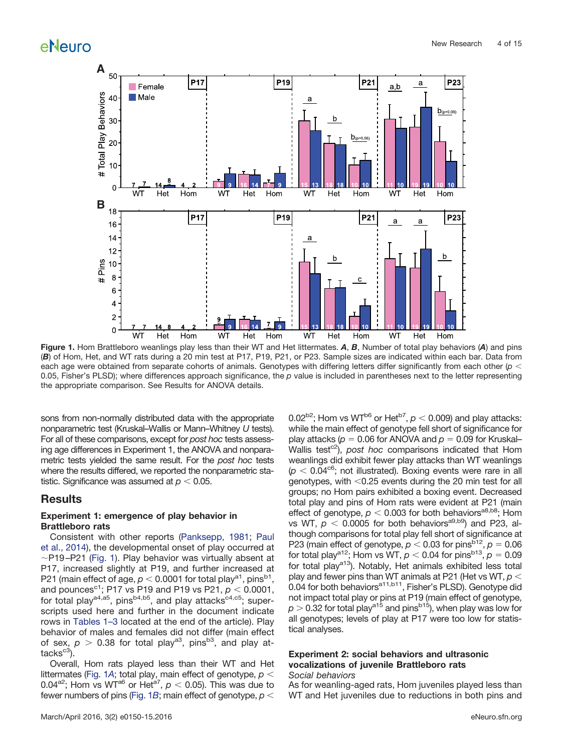

<span id="page-3-0"></span>**Figure 1.** Hom Brattleboro weanlings play less than their WT and Het littermates. *A*, *B*, Number of total play behaviors (*A*) and pins (*B*) of Hom, Het, and WT rats during a 20 min test at P17, P19, P21, or P23. Sample sizes are indicated within each bar. Data from each age were obtained from separate cohorts of animals. Genotypes with differing letters differ significantly from each other ( $p <$ 0.05, Fisher's PLSD); where differences approach significance, the *p* value is included in parentheses next to the letter representing the appropriate comparison. See Results for ANOVA details.

sons from non-normally distributed data with the appropriate nonparametric test (Kruskal–Wallis or Mann–Whitney *U* tests). For all of these comparisons, except for *post hoc* tests assessing age differences in Experiment 1, the ANOVA and nonparametric tests yielded the same result. For the *post hoc* tests where the results differed, we reported the nonparametric statistic. Significance was assumed at  $p < 0.05$ .

### **Results**

#### **Experiment 1: emergence of play behavior in Brattleboro rats**

Consistent with other reports [\(Panksepp, 1981;](#page-13-0) [Paul](#page-13-13) [et al., 2014\)](#page-13-13), the developmental onset of play occurred at  $\sim$ P19-P21 [\(Fig. 1\)](#page-3-0). Play behavior was virtually absent at P17, increased slightly at P19, and further increased at P21 (main effect of age,  $p < 0.0001$  for total play<sup>a1</sup>, pins<sup>b1</sup>, and pounces<sup>c1</sup>; P17 vs P19 and P19 vs P21,  $p < 0.0001$ , for total play<sup>a4,a5</sup>, pins<sup>b4,b5</sup>, and play attacks<sup>c4,c5</sup>; superscripts used here and further in the document indicate rows in [Tables 1](#page-9-0)[–](#page-10-0)[3](#page-11-0) located at the end of the article). Play behavior of males and females did not differ (main effect of sex,  $p > 0.38$  for total play<sup>a3</sup>, pins<sup>b3</sup>, and play at $tacks<sup>c3</sup>$ ).

Overall, Hom rats played less than their WT and Het littermates [\(Fig. 1](#page-3-0)*A*; total play, main effect of genotype, *p* 0.04<sup>a2</sup>; Hom vs WT<sup>a6</sup> or Het<sup>a7</sup>,  $p < 0.05$ ). This was due to fewer numbers of pins [\(Fig. 1](#page-3-0)*B*; main effect of genotype, *p* 0.02<sup>b2</sup>; Hom vs WT<sup>b6</sup> or Het<sup>b7</sup>,  $p < 0.009$ ) and play attacks: while the main effect of genotype fell short of significance for play attacks ( $p = 0.06$  for ANOVA and  $p = 0.09$  for Kruskal– Wallis test<sup>c2</sup>), *post hoc* comparisons indicated that Hom weanlings did exhibit fewer play attacks than WT weanlings  $(p < 0.04<sup>co</sup>)$ ; not illustrated). Boxing events were rare in all genotypes, with  $<$  0.25 events during the 20 min test for all groups; no Hom pairs exhibited a boxing event. Decreased total play and pins of Hom rats were evident at P21 (main effect of genotype,  $p < 0.003$  for both behaviors<sup>a8,b8</sup>; Hom vs WT,  $p < 0.0005$  for both behaviors<sup>a9,b9</sup>) and P23, although comparisons for total play fell short of significance at P23 (main effect of genotype,  $p < 0.03$  for pins<sup>b12</sup>,  $p = 0.06$ for total play<sup>a12</sup>; Hom vs WT,  $p < 0.04$  for pins<sup>b13</sup>,  $p = 0.09$ for total play<sup>a13</sup>). Notably, Het animals exhibited less total play and fewer pins than WT animals at P21 (Het vs WT, *p* 0.04 for both behaviors<sup>a11,b11</sup>, Fisher's PLSD). Genotype did not impact total play or pins at P19 (main effect of genotype,  $p > 0.32$  for total play<sup>a15</sup> and pins<sup>b15</sup>), when play was low for all genotypes; levels of play at P17 were too low for statistical analyses.

### **Experiment 2: social behaviors and ultrasonic vocalizations of juvenile Brattleboro rats**

#### *Social behaviors*

As for weanling-aged rats, Hom juveniles played less than WT and Het juveniles due to reductions in both pins and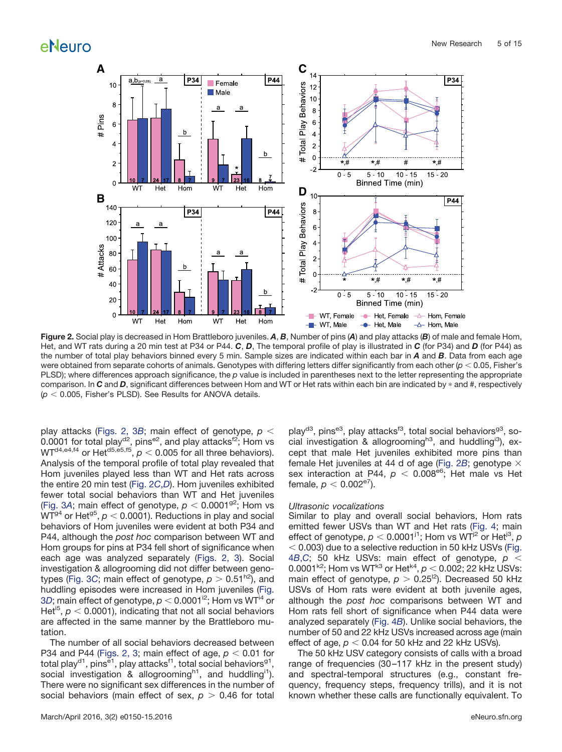

<span id="page-4-0"></span>**Figure 2.** Social play is decreased in Hom Brattleboro juveniles. *A*, *B*, Number of pins (*A*) and play attacks (*B*) of male and female Hom, Het, and WT rats during a 20 min test at P34 or P44. *C*, *D*, The temporal profile of play is illustrated in *C* (for P34) and *D* (for P44) as the number of total play behaviors binned every 5 min. Sample sizes are indicated within each bar in *A* and *B*. Data from each age were obtained from separate cohorts of animals. Genotypes with differing letters differ significantly from each other ( $p < 0.05$ , Fisher's PLSD); where differences approach significance, the p value is included in parentheses next to the letter representing the appropriate comparison. In C and D, significant differences between Hom and WT or Het rats within each bin are indicated by  $*$  and #, respectively  $(p < 0.005$ , Fisher's PLSD). See Results for ANOVA details.

play attacks [\(Figs. 2, 3](#page-5-0)*B*; main effect of genotype, *p* 0.0001 for total play<sup>d2</sup>, pins<sup>e2</sup>, and play attacks<sup>f2</sup>; Hom vs  $WT<sup>d, e4, f4</sup>$  or Het<sup>d5,e5,f5</sup>,  $p < 0.005$  for all three behaviors). Analysis of the temporal profile of total play revealed that Hom juveniles played less than WT and Het rats across the entire 20 min test [\(Fig. 2](#page-4-0)*C*,*D*). Hom juveniles exhibited fewer total social behaviors than WT and Het juveniles [\(Fig. 3](#page-5-0)A; main effect of genotype,  $p < 0.0001^{92}$ ; Hom vs  $WT<sup>94</sup>$  or Het<sup>95</sup>,  $p < 0.0001$ ). Reductions in play and social behaviors of Hom juveniles were evident at both P34 and P44, although the *post hoc* comparison between WT and Hom groups for pins at P34 fell short of significance when each age was analyzed separately [\(Figs. 2, 3\)](#page-5-0). Social investigation & allogrooming did not differ between geno-types [\(Fig. 3](#page-5-0)*C*; main effect of genotype,  $p > 0.51^{h2}$ ), and huddling episodes were increased in Hom juveniles [\(Fig.](#page-5-0) 3[D](#page-5-0); main effect of genotype,  $p < 0.0001^{12}$ ; Hom vs WT<sup>14</sup> or Het<sup>i5</sup>,  $p < 0.0001$ ), indicating that not all social behaviors are affected in the same manner by the Brattleboro mutation.

The number of all social behaviors decreased between P34 and P44 [\(Figs. 2, 3;](#page-5-0) main effect of age,  $p < 0.01$  for total play<sup>d1</sup>, pins<sup>e1</sup>, play attacks<sup>f1</sup>, total social behaviors<sup>g1</sup>, social investigation & allogrooming<sup>h1</sup>, and huddling<sup>i1</sup>). There were no significant sex differences in the number of social behaviors (main effect of sex,  $p > 0.46$  for total play<sup>d3</sup>, pins<sup>e3</sup>, play attacks<sup>f3</sup>, total social behaviors<sup>93</sup>, social investigation & allogrooming<sup>h3</sup>, and huddling<sup>13</sup>), except that male Het juveniles exhibited more pins than female Het juveniles at 44 d of age [\(Fig. 2](#page-4-0)*B*; genotype  $\times$ sex interaction at P44,  $p < 0.008^{\text{e6}}$ ; Het male vs Het female,  $p < 0.002^{e7}$ ).

#### *Ultrasonic vocalizations*

Similar to play and overall social behaviors, Hom rats emitted fewer USVs than WT and Het rats [\(Fig. 4;](#page-6-0) main effect of genotype,  $p < 0.0001^{11}$ ; Hom vs WT<sup> $2$ </sup> or Het<sup> $3$ </sup>,  $p$  $<$  0.003) due to a selective reduction in 50 kHz USVs [\(Fig.](#page-6-0) 4*B*,*[C](#page-6-0)*; 50 kHz USVs: main effect of genotype, *p* 0.0001<sup>k2</sup>; Hom vs WT<sup>k3</sup> or Het<sup>k4</sup>,  $p < 0.002$ ; 22 kHz USVs: main effect of genotype,  $p > 0.25^{2}$ ). Decreased 50 kHz USVs of Hom rats were evident at both juvenile ages, although the *post hoc* comparisons between WT and Hom rats fell short of significance when P44 data were analyzed separately [\(Fig. 4](#page-6-0)*B*). Unlike social behaviors, the number of 50 and 22 kHz USVs increased across age (main effect of age,  $p < 0.04$  for 50 kHz and 22 kHz USVs).

The 50 kHz USV category consists of calls with a broad range of frequencies (30 –117 kHz in the present study) and spectral-temporal structures (e.g., constant frequency, frequency steps, frequency trills), and it is not known whether these calls are functionally equivalent. To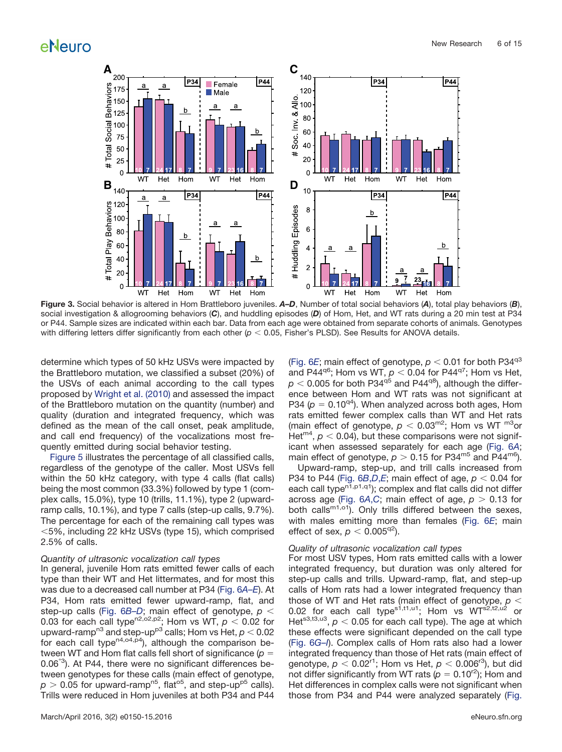

<span id="page-5-0"></span>**Figure 3.** Social behavior is altered in Hom Brattleboro juveniles. *A–D*, Number of total social behaviors (*A*), total play behaviors (*B*), social investigation & allogrooming behaviors (*C*), and huddling episodes (*D*) of Hom, Het, and WT rats during a 20 min test at P34 or P44. Sample sizes are indicated within each bar. Data from each age were obtained from separate cohorts of animals. Genotypes with differing letters differ significantly from each other ( $p < 0.05$ , Fisher's PLSD). See Results for ANOVA details.

determine which types of 50 kHz USVs were impacted by the Brattleboro mutation, we classified a subset (20%) of the USVs of each animal according to the call types proposed by [Wright et al. \(2010\)](#page-14-12) and assessed the impact of the Brattleboro mutation on the quantity (number) and quality (duration and integrated frequency, which was defined as the mean of the call onset, peak amplitude, and call end frequency) of the vocalizations most frequently emitted during social behavior testing.

[Figure 5](#page-7-0) illustrates the percentage of all classified calls, regardless of the genotype of the caller. Most USVs fell within the 50 kHz category, with type 4 calls (flat calls) being the most common (33.3%) followed by type 1 (complex calls, 15.0%), type 10 (trills, 11.1%), type 2 (upwardramp calls, 10.1%), and type 7 calls (step-up calls, 9.7%). The percentage for each of the remaining call types was  $<$ 5%, including 22 kHz USVs (type 15), which comprised 2.5% of calls.

#### *Quantity of ultrasonic vocalization call types*

In general, juvenile Hom rats emitted fewer calls of each type than their WT and Het littermates, and for most this was due to a decreased call number at P34 [\(Fig. 6](#page-8-0)*A–E*). At P34, Hom rats emitted fewer upward-ramp, flat, and step-up calls [\(Fig. 6](#page-8-0)*B–D*; main effect of genotype, *p* 0.03 for each call type<sup>n2,o2,p2</sup>; Hom vs WT,  $p < 0.02$  for upward-ramp<sup>n3</sup> and step-up<sup>p3</sup> calls; Hom vs Het,  $p < 0.02$ for each call type $n^{4, o4, p4}$ ), although the comparison between WT and Hom flat calls fell short of significance (*p* 0.06°3). At P44, there were no significant differences between genotypes for these calls (main effect of genotype,  $p > 0.05$  for upward-ramp<sup>n5</sup>, flat<sup>o5</sup>, and step-up<sup>p5</sup> calls). Trills were reduced in Hom juveniles at both P34 and P44 [\(Fig. 6](#page-8-0)*E*; main effect of genotype,  $p < 0.01$  for both P34<sup>q3</sup> and P44<sup>q6</sup>; Hom vs WT,  $p < 0.04$  for P44<sup>q7</sup>; Hom vs Het,  $p < 0.005$  for both P34<sup>q5</sup> and P44<sup>q8</sup>), although the difference between Hom and WT rats was not significant at P34 ( $p = 0.10^{q4}$ ). When analyzed across both ages, Hom rats emitted fewer complex calls than WT and Het rats (main effect of genotype,  $p < 0.03$ <sup>m2</sup>; Hom vs WT m<sup>3</sup>or Het<sup>m4</sup>,  $p < 0.04$ ), but these comparisons were not significant when assessed separately for each age [\(Fig. 6](#page-8-0)*A*; main effect of genotype,  $p > 0.15$  for P34<sup>m5</sup> and P44<sup>m6</sup>).

Upward-ramp, step-up, and trill calls increased from P34 to P44 (Fig.  $6B$ , *D*, *E*; main effect of age,  $p < 0.04$  for each call type $n^{1,p1,q1}$ ; complex and flat calls did not differ across age [\(Fig. 6](#page-8-0)A,C; main effect of age,  $p > 0.13$  for both calls<sup>m1,o1</sup>). Only trills differed between the sexes, with males emitting more than females [\(Fig. 6](#page-8-0)*E*; main effect of sex,  $p < 0.005^{q2}$ ).

#### *Quality of ultrasonic vocalization call types*

For most USV types, Hom rats emitted calls with a lower integrated frequency, but duration was only altered for step-up calls and trills. Upward-ramp, flat, and step-up calls of Hom rats had a lower integrated frequency than those of WT and Het rats (main effect of genotype, *p* 0.02 for each call type<sup>s1,t1,u1</sup>; Hom vs  $WT<sup>s2, t2, u2</sup>$  or Het<sup>s3,t3,u3</sup>,  $p < 0.05$  for each call type). The age at which these effects were significant depended on the call type [\(Fig. 6](#page-8-0)*G–I*). Complex calls of Hom rats also had a lower integrated frequency than those of Het rats (main effect of genotype,  $p < 0.02<sup>r1</sup>$ ; Hom vs Het,  $p < 0.006<sup>r3</sup>$ ), but did not differ significantly from WT rats ( $p = 0.10^{2}$ ); Hom and Het differences in complex calls were not significant when those from P34 and P44 were analyzed separately [\(Fig.](#page-3-0)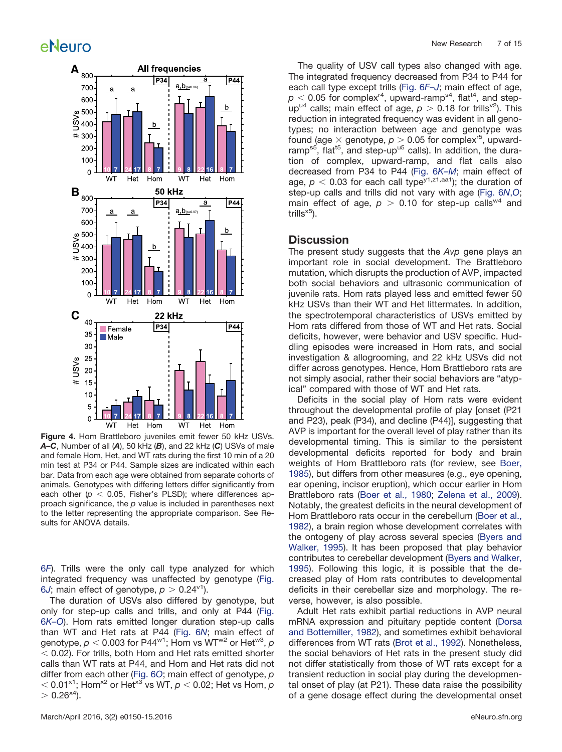

<span id="page-6-0"></span>**Figure 4.** Hom Brattleboro juveniles emit fewer 50 kHz USVs. *A–C*, Number of all (*A*), 50 kHz (*B*), and 22 kHz (*C*) USVs of male and female Hom, Het, and WT rats during the first 10 min of a 20 min test at P34 or P44. Sample sizes are indicated within each bar. Data from each age were obtained from separate cohorts of animals. Genotypes with differing letters differ significantly from each other  $(p < 0.05$ , Fisher's PLSD); where differences approach significance, the *p* value is included in parentheses next to the letter representing the appropriate comparison. See Results for ANOVA details.

6*[F](#page-3-0)*). Trills were the only call type analyzed for which integrated frequency was unaffected by genotype [\(Fig.](#page-8-0) [6](#page-8-0)*J*; main effect of genotype,  $p > 0.24$ <sup>v<sup>1</sup>).</sup>

The duration of USVs also differed by genotype, but only for step-up calls and trills, and only at P44 [\(Fig.](#page-8-0) 6*[K–O](#page-8-0)*). Hom rats emitted longer duration step-up calls than WT and Het rats at P44 [\(Fig. 6](#page-8-0)*N*; main effect of genotype,  $p < 0.003$  for P44<sup>w1</sup>; Hom vs WT<sup>w2</sup> or Het<sup>w3</sup>,  $p$  $<$  0.02). For trills, both Hom and Het rats emitted shorter calls than WT rats at P44, and Hom and Het rats did not differ from each other [\(Fig. 6](#page-8-0)*O*; main effect of genotype, *p*  $<$  0.01<sup>x1</sup>; Hom<sup>x2</sup> or Het<sup>x3</sup> vs WT,  $p$   $<$  0.02; Het vs Hom,  $p$  $> 0.26^{x4}$ ).

The quality of USV call types also changed with age. The integrated frequency decreased from P34 to P44 for each call type except trills [\(Fig. 6](#page-8-0)*F–J*; main effect of age,  $p < 0.05$  for complex<sup>r4</sup>, upward-ramp<sup>s4</sup>, flat<sup>t4</sup>, and stepup<sup>u4</sup> calls; main effect of age,  $p > 0.18$  for trills<sup>v2</sup>). This reduction in integrated frequency was evident in all genotypes; no interaction between age and genotype was found (age  $\times$  genotype,  $p > 0.05$  for complex<sup>r5</sup>, upwardramp<sup>s5</sup>, flat<sup>t5</sup>, and step-up<sup>u5</sup> calls). In addition, the duration of complex, upward-ramp, and flat calls also decreased from P34 to P44 [\(Fig. 6](#page-8-0)*K–M*; main effect of age,  $p < 0.03$  for each call type<sup>y1,z1,aa1</sup>); the duration of step-up calls and trills did not vary with age [\(Fig. 6](#page-8-0)*N*,*O*; main effect of age,  $p > 0.10$  for step-up calls<sup>w4</sup> and trills $^{x5}$ ).

### **Discussion**

The present study suggests that the *Avp* gene plays an important role in social development. The Brattleboro mutation, which disrupts the production of AVP, impacted both social behaviors and ultrasonic communication of juvenile rats. Hom rats played less and emitted fewer 50 kHz USVs than their WT and Het littermates. In addition, the spectrotemporal characteristics of USVs emitted by Hom rats differed from those of WT and Het rats. Social deficits, however, were behavior and USV specific. Huddling episodes were increased in Hom rats, and social investigation & allogrooming, and 22 kHz USVs did not differ across genotypes. Hence, Hom Brattleboro rats are not simply asocial, rather their social behaviors are "atypical" compared with those of WT and Het rats.

Deficits in the social play of Hom rats were evident throughout the developmental profile of play [onset (P21 and P23), peak (P34), and decline (P44)], suggesting that AVP is important for the overall level of play rather than its developmental timing. This is similar to the persistent developmental deficits reported for body and brain weights of Hom Brattleboro rats (for review, see [Boer,](#page-12-5) [1985\)](#page-12-5), but differs from other measures (e.g., eye opening, ear opening, incisor eruption), which occur earlier in Hom Brattleboro rats [\(Boer et al., 1980;](#page-12-6) [Zelena et al., 2009\)](#page-14-13). Notably, the greatest deficits in the neural development of Hom Brattleboro rats occur in the cerebellum [\(Boer et al.,](#page-12-7) [1982\)](#page-12-7), a brain region whose development correlates with the ontogeny of play across several species [\(Byers and](#page-13-15) [Walker, 1995\)](#page-13-15). It has been proposed that play behavior contributes to cerebellar development [\(Byers and Walker,](#page-13-15) [1995\)](#page-13-15). Following this logic, it is possible that the decreased play of Hom rats contributes to developmental deficits in their cerebellar size and morphology. The reverse, however, is also possible.

Adult Het rats exhibit partial reductions in AVP neural mRNA expression and pituitary peptide content [\(Dorsa](#page-13-16) [and Bottemiller, 1982\)](#page-13-16), and sometimes exhibit behavioral differences from WT rats [\(Brot et al., 1992\)](#page-13-17). Nonetheless, the social behaviors of Het rats in the present study did not differ statistically from those of WT rats except for a transient reduction in social play during the developmental onset of play (at P21). These data raise the possibility of a gene dosage effect during the developmental onset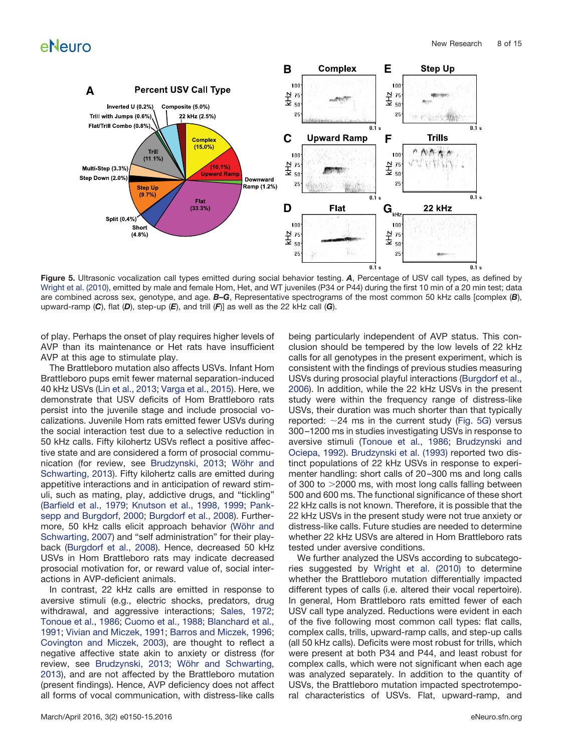

<span id="page-7-0"></span>**Figure 5.** Ultrasonic vocalization call types emitted during social behavior testing. *A*, Percentage of USV call types, as defined by [Wright et al. \(2010\),](#page-14-12) emitted by male and female Hom, Het, and WT juveniles (P34 or P44) during the first 10 min of a 20 min test; data are combined across sex, genotype, and age. *B–G*, Representative spectrograms of the most common 50 kHz calls [complex (*B*), upward-ramp (*C*), flat (*D*), step-up (*E*), and trill (*F*)] as well as the 22 kHz call (*G*).

of play. Perhaps the onset of play requires higher levels of AVP than its maintenance or Het rats have insufficient AVP at this age to stimulate play.

The Brattleboro mutation also affects USVs. Infant Hom Brattleboro pups emit fewer maternal separation-induced 40 kHz USVs [\(Lin et al., 2013;](#page-13-12) [Varga et al., 2015\)](#page-14-11). Here, we demonstrate that USV deficits of Hom Brattleboro rats persist into the juvenile stage and include prosocial vocalizations. Juvenile Hom rats emitted fewer USVs during the social interaction test due to a selective reduction in 50 kHz calls. Fifty kilohertz USVs reflect a positive affective state and are considered a form of prosocial communication (for review, see [Brudzynski, 2013;](#page-13-4) [Wöhr and](#page-14-4) [Schwarting, 2013\)](#page-14-4). Fifty kilohertz calls are emitted during appetitive interactions and in anticipation of reward stimuli, such as mating, play, addictive drugs, and "tickling" [\(Barfield et al., 1979;](#page-12-8) [Knutson et al., 1998, 1999;](#page-13-18) [Pank](#page-13-19)[sepp and Burgdorf, 2000;](#page-13-19) [Burgdorf et al., 2008\)](#page-13-20). Furthermore, 50 kHz calls elicit approach behavior [\(Wöhr and](#page-14-14) [Schwarting, 2007\)](#page-14-14) and "self administration" for their playback [\(Burgdorf et al., 2008\)](#page-13-20). Hence, decreased 50 kHz USVs in Hom Brattleboro rats may indicate decreased prosocial motivation for, or reward value of, social interactions in AVP-deficient animals.

In contrast, 22 kHz calls are emitted in response to aversive stimuli (e.g., electric shocks, predators, drug withdrawal, and aggressive interactions; [Sales, 1972;](#page-14-15) [Tonoue et al., 1986;](#page-14-16) [Cuomo et al., 1988;](#page-13-21) [Blanchard et al.,](#page-12-9) [1991;](#page-12-9) [Vivian and Miczek, 1991;](#page-14-17) [Barros and Miczek, 1996;](#page-12-10) [Covington and Miczek, 2003\)](#page-13-22), are thought to reflect a negative affective state akin to anxiety or distress (for review, see [Brudzynski, 2013;](#page-13-4) [Wöhr and Schwarting,](#page-14-4) [2013\)](#page-14-4), and are not affected by the Brattleboro mutation (present findings). Hence, AVP deficiency does not affect all forms of vocal communication, with distress-like calls being particularly independent of AVP status. This conclusion should be tempered by the low levels of 22 kHz calls for all genotypes in the present experiment, which is consistent with the findings of previous studies measuring USVs during prosocial playful interactions [\(Burgdorf et al.,](#page-13-23) [2006\)](#page-13-23). In addition, while the 22 kHz USVs in the present study were within the frequency range of distress-like USVs, their duration was much shorter than that typically reported: -24 ms in the current study [\(Fig. 5](#page-7-0)*G*) versus 300 –1200 ms in studies investigating USVs in response to aversive stimuli [\(Tonoue et al., 1986;](#page-14-16) [Brudzynski and](#page-13-24) [Ociepa, 1992\)](#page-13-24). [Brudzynski et al. \(1993\)](#page-13-25) reported two distinct populations of 22 kHz USVs in response to experimenter handling: short calls of 20 –300 ms and long calls of 300 to 2000 ms, with most long calls falling between 500 and 600 ms. The functional significance of these short 22 kHz calls is not known. Therefore, it is possible that the 22 kHz USVs in the present study were not true anxiety or distress-like calls. Future studies are needed to determine whether 22 kHz USVs are altered in Hom Brattleboro rats tested under aversive conditions.

We further analyzed the USVs according to subcategories suggested by [Wright et al. \(2010\)](#page-14-12) to determine whether the Brattleboro mutation differentially impacted different types of calls (i.e. altered their vocal repertoire). In general, Hom Brattleboro rats emitted fewer of each USV call type analyzed. Reductions were evident in each of the five following most common call types: flat calls, complex calls, trills, upward-ramp calls, and step-up calls (all 50 kHz calls). Deficits were most robust for trills, which were present at both P34 and P44, and least robust for complex calls, which were not significant when each age was analyzed separately. In addition to the quantity of USVs, the Brattleboro mutation impacted spectrotemporal characteristics of USVs. Flat, upward-ramp, and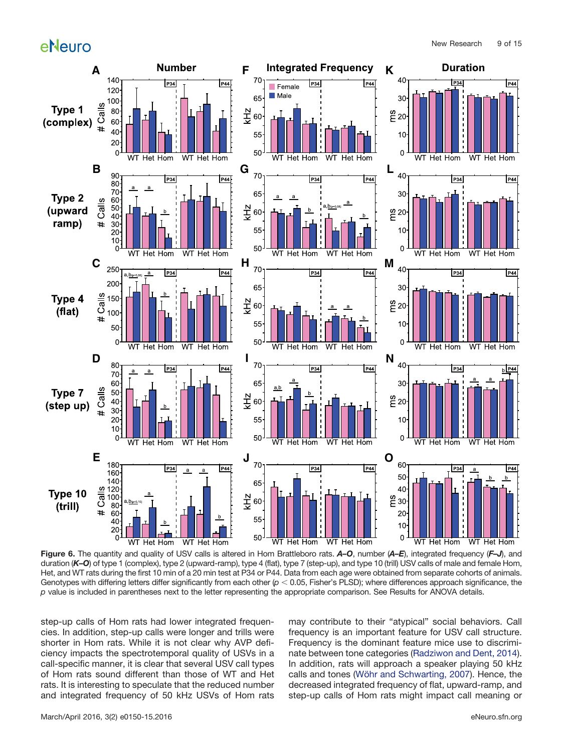

<span id="page-8-0"></span>**Figure 6.** The quantity and quality of USV calls is altered in Hom Brattleboro rats. *A–O*, number (*A–E*), integrated frequency (*F–J*), and duration (K–O) of type 1 (complex), type 2 (upward-ramp), type 4 (flat), type 7 (step-up), and type 10 (trill) USV calls of male and female Hom, Het, and WT rats during the first 10 min of a 20 min test at P34 or P44. Data from each age were obtained from separate cohorts of animals. Genotypes with differing letters differ significantly from each other  $(p < 0.05$ , Fisher's PLSD); where differences approach significance, the *p* value is included in parentheses next to the letter representing the appropriate comparison. See Results for ANOVA details.

step-up calls of Hom rats had lower integrated frequencies. In addition, step-up calls were longer and trills were shorter in Hom rats. While it is not clear why AVP deficiency impacts the spectrotemporal quality of USVs in a call-specific manner, it is clear that several USV call types of Hom rats sound different than those of WT and Het rats. It is interesting to speculate that the reduced number and integrated frequency of 50 kHz USVs of Hom rats

may contribute to their "atypical" social behaviors. Call frequency is an important feature for USV call structure. Frequency is the dominant feature mice use to discriminate between tone categories [\(Radziwon and Dent, 2014\)](#page-14-18). In addition, rats will approach a speaker playing 50 kHz calls and tones [\(Wöhr and Schwarting, 2007\)](#page-14-14). Hence, the decreased integrated frequency of flat, upward-ramp, and step-up calls of Hom rats might impact call meaning or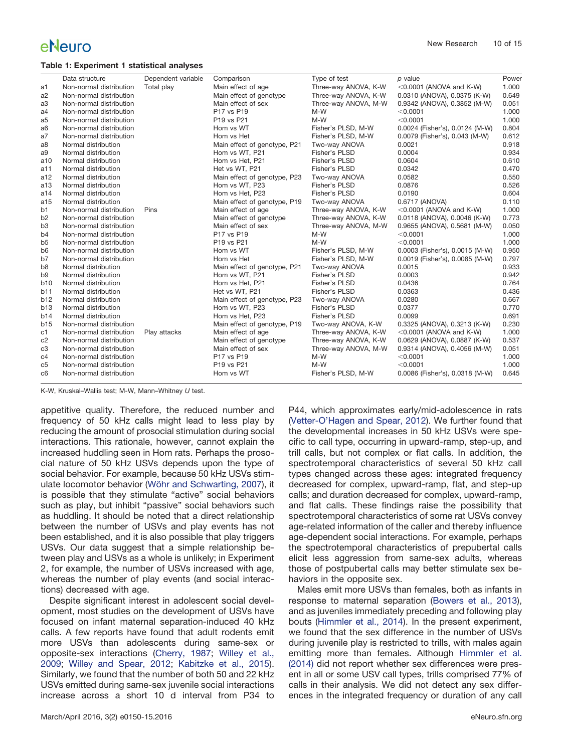#### <span id="page-9-0"></span>**Table 1: Experiment 1 statistical analyses**

|                | Data structure          | Dependent variable | Comparison                   | Type of test         | $p$ value                       | Power |
|----------------|-------------------------|--------------------|------------------------------|----------------------|---------------------------------|-------|
| a1             | Non-normal distribution | Total play         | Main effect of age           | Three-way ANOVA, K-W | $<$ 0.0001 (ANOVA and K-W)      | 1.000 |
| a <sub>2</sub> | Non-normal distribution |                    | Main effect of genotype      | Three-way ANOVA, K-W | 0.0310 (ANOVA), 0.0375 (K-W)    | 0.649 |
| a3             | Non-normal distribution |                    | Main effect of sex           | Three-way ANOVA, M-W | 0.9342 (ANOVA), 0.3852 (M-W)    | 0.051 |
| a4             | Non-normal distribution |                    | P17 vs P19                   | M-W                  | < 0.0001                        | 1.000 |
| a5             | Non-normal distribution |                    | P19 vs P21                   | $M-W$                | < 0.0001                        | 1.000 |
| a6             | Non-normal distribution |                    | Hom vs WT                    | Fisher's PLSD, M-W   | 0.0024 (Fisher's), 0.0124 (M-W) | 0.804 |
| a7             | Non-normal distribution |                    | Hom vs Het                   | Fisher's PLSD, M-W   | 0.0079 (Fisher's), 0.043 (M-W)  | 0.612 |
| a8             | Normal distribution     |                    | Main effect of genotype, P21 | Two-way ANOVA        | 0.0021                          | 0.918 |
| a9             | Normal distribution     |                    | Hom vs WT, P21               | Fisher's PLSD        | 0.0004                          | 0.934 |
| a10            | Normal distribution     |                    | Hom vs Het, P21              | Fisher's PLSD        | 0.0604                          | 0.610 |
| a11            | Normal distribution     |                    | Het vs WT, P21               | Fisher's PLSD        | 0.0342                          | 0.470 |
| a12            | Normal distribution     |                    | Main effect of genotype, P23 | Two-way ANOVA        | 0.0582                          | 0.550 |
| a13            | Normal distribution     |                    | Hom vs WT, P23               | Fisher's PLSD        | 0.0876                          | 0.526 |
| a14            | Normal distribution     |                    | Hom vs Het, P23              | Fisher's PLSD        | 0.0190                          | 0.604 |
| a15            | Normal distribution     |                    | Main effect of genotype, P19 | Two-way ANOVA        | 0.6717 (ANOVA)                  | 0.110 |
| b1             | Non-normal distribution | Pins               | Main effect of age           | Three-way ANOVA, K-W | $<$ 0.0001 (ANOVA and K-W)      | 1.000 |
| b <sub>2</sub> | Non-normal distribution |                    | Main effect of genotype      | Three-way ANOVA, K-W | 0.0118 (ANOVA), 0.0046 (K-W)    | 0.773 |
| b <sub>3</sub> | Non-normal distribution |                    | Main effect of sex           | Three-way ANOVA, M-W | 0.9655 (ANOVA), 0.5681 (M-W)    | 0.050 |
| b4             | Non-normal distribution |                    | P17 vs P19                   | $M-W$                | < 0.0001                        | 1.000 |
| b <sub>5</sub> | Non-normal distribution |                    | P19 vs P21                   | $M-W$                | < 0.0001                        | 1.000 |
| b <sub>6</sub> | Non-normal distribution |                    | Hom vs WT                    | Fisher's PLSD, M-W   | 0.0003 (Fisher's), 0.0015 (M-W) | 0.950 |
| b7             | Non-normal distribution |                    | Hom vs Het                   | Fisher's PLSD, M-W   | 0.0019 (Fisher's), 0.0085 (M-W) | 0.797 |
| b <sub>8</sub> | Normal distribution     |                    | Main effect of genotype, P21 | Two-way ANOVA        | 0.0015                          | 0.933 |
| b <sub>9</sub> | Normal distribution     |                    | Hom vs WT, P21               | Fisher's PLSD        | 0.0003                          | 0.942 |
| b10            | Normal distribution     |                    | Hom vs Het, P21              | Fisher's PLSD        | 0.0436                          | 0.764 |
| b11            | Normal distribution     |                    | Het vs WT. P21               | Fisher's PLSD        | 0.0363                          | 0.436 |
| b12            | Normal distribution     |                    | Main effect of genotype, P23 | Two-way ANOVA        | 0.0280                          | 0.667 |
| b13            | Normal distribution     |                    | Hom vs WT, P23               | Fisher's PLSD        | 0.0377                          | 0.770 |
| b14            | Normal distribution     |                    | Hom vs Het, P23              | Fisher's PLSD        | 0.0099                          | 0.691 |
| b15            | Non-normal distribution |                    | Main effect of genotype, P19 | Two-way ANOVA, K-W   | 0.3325 (ANOVA), 0.3213 (K-W)    | 0.230 |
| c1             | Non-normal distribution | Play attacks       | Main effect of age           | Three-way ANOVA, K-W | $<$ 0.0001 (ANOVA and K-W)      | 1.000 |
| c2             | Non-normal distribution |                    | Main effect of genotype      | Three-way ANOVA, K-W | 0.0629 (ANOVA), 0.0887 (K-W)    | 0.537 |
| c3             | Non-normal distribution |                    | Main effect of sex           | Three-way ANOVA, M-W | 0.9314 (ANOVA), 0.4056 (M-W)    | 0.051 |
| c4             | Non-normal distribution |                    | P17 vs P19                   | $M-W$                | < 0.0001                        | 1.000 |
| c5             | Non-normal distribution |                    | P19 vs P21                   | $M-W$                | < 0.0001                        | 1.000 |
| c6             | Non-normal distribution |                    | Hom vs WT                    | Fisher's PLSD, M-W   | 0.0086 (Fisher's), 0.0318 (M-W) | 0.645 |
|                |                         |                    |                              |                      |                                 |       |

K-W, Kruskal–Wallis test; M-W, Mann–Whitney *U* test.

appetitive quality. Therefore, the reduced number and frequency of 50 kHz calls might lead to less play by reducing the amount of prosocial stimulation during social interactions. This rationale, however, cannot explain the increased huddling seen in Hom rats. Perhaps the prosocial nature of 50 kHz USVs depends upon the type of social behavior. For example, because 50 kHz USVs stimulate locomotor behavior [\(Wöhr and Schwarting, 2007\)](#page-14-14), it is possible that they stimulate "active" social behaviors such as play, but inhibit "passive" social behaviors such as huddling. It should be noted that a direct relationship between the number of USVs and play events has not been established, and it is also possible that play triggers USVs. Our data suggest that a simple relationship between play and USVs as a whole is unlikely; in Experiment 2, for example, the number of USVs increased with age, whereas the number of play events (and social interactions) decreased with age.

Despite significant interest in adolescent social development, most studies on the development of USVs have focused on infant maternal separation-induced 40 kHz calls. A few reports have found that adult rodents emit more USVs than adolescents during same-sex or opposite-sex interactions [\(Cherry, 1987;](#page-13-26) [Willey et al.,](#page-14-19) [2009;](#page-14-19) [Willey and Spear, 2012;](#page-14-20) [Kabitzke et al., 2015\)](#page-13-27). Similarly, we found that the number of both 50 and 22 kHz USVs emitted during same-sex juvenile social interactions increase across a short 10 d interval from P34 to

March/April 2016, 3(2) e0150-15.2016 eNeuro.sfn.org

P44, which approximates early/mid-adolescence in rats [\(Vetter-O'Hagen and Spear, 2012\)](#page-14-21). We further found that the developmental increases in 50 kHz USVs were specific to call type, occurring in upward-ramp, step-up, and trill calls, but not complex or flat calls. In addition, the spectrotemporal characteristics of several 50 kHz call types changed across these ages: integrated frequency decreased for complex, upward-ramp, flat, and step-up calls; and duration decreased for complex, upward-ramp, and flat calls. These findings raise the possibility that spectrotemporal characteristics of some rat USVs convey age-related information of the caller and thereby influence age-dependent social interactions. For example, perhaps the spectrotemporal characteristics of prepubertal calls elicit less aggression from same-sex adults, whereas those of postpubertal calls may better stimulate sex behaviors in the opposite sex.

Males emit more USVs than females, both as infants in response to maternal separation [\(Bowers et al., 2013\)](#page-12-11), and as juveniles immediately preceding and following play bouts [\(Himmler et al., 2014\)](#page-13-28). In the present experiment, we found that the sex difference in the number of USVs during juvenile play is restricted to trills, with males again emitting more than females. Although [Himmler et al.](#page-13-28) [\(2014\)](#page-13-28) did not report whether sex differences were present in all or some USV call types, trills comprised 77% of calls in their analysis. We did not detect any sex differences in the integrated frequency or duration of any call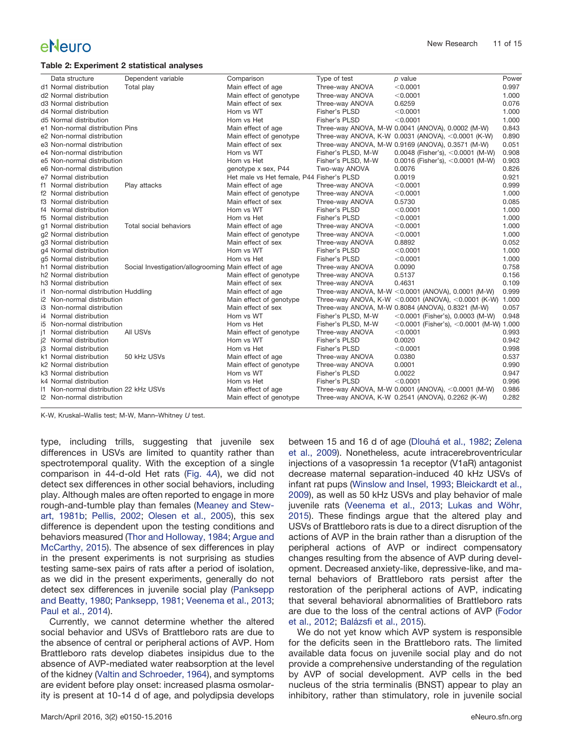#### <span id="page-10-0"></span>**Table 2: Experiment 2 statistical analyses**

|     | Data structure                         | Dependent variable                                   | Comparison                                | Type of test       | p value                                               | Power |
|-----|----------------------------------------|------------------------------------------------------|-------------------------------------------|--------------------|-------------------------------------------------------|-------|
|     | d1 Normal distribution                 | Total play                                           | Main effect of age                        | Three-way ANOVA    | < 0.0001                                              | 0.997 |
|     | d2 Normal distribution                 |                                                      | Main effect of genotype                   | Three-way ANOVA    | < 0.0001                                              | 1.000 |
|     | d3 Normal distribution                 |                                                      | Main effect of sex                        | Three-way ANOVA    | 0.6259                                                | 0.076 |
|     | d4 Normal distribution                 |                                                      | Hom vs WT                                 | Fisher's PLSD      | $<$ 0.0001                                            | 1.000 |
|     | d5 Normal distribution                 |                                                      | Hom vs Het                                | Fisher's PLSD      | < 0.0001                                              | 1.000 |
|     | e1 Non-normal distribution Pins        |                                                      | Main effect of age                        |                    | Three-way ANOVA, M-W 0.0041 (ANOVA), 0.0002 (M-W)     | 0.843 |
|     | e2 Non-normal distribution             |                                                      | Main effect of genotype                   |                    | Three-way ANOVA, K-W 0.0031 (ANOVA), <0.0001 (K-W)    | 0.890 |
|     | e3 Non-normal distribution             |                                                      | Main effect of sex                        |                    | Three-way ANOVA, M-W 0.9169 (ANOVA), 0.3571 (M-W)     | 0.051 |
|     | e4 Non-normal distribution             |                                                      | Hom vs WT                                 | Fisher's PLSD, M-W | 0.0048 (Fisher's), $<$ 0.0001 (M-W)                   | 0.908 |
|     | e5 Non-normal distribution             |                                                      | Hom vs Het                                | Fisher's PLSD, M-W | 0.0016 (Fisher's), $<$ 0.0001 (M-W)                   | 0.903 |
|     | e6 Non-normal distribution             |                                                      | genotype x sex, P44                       | Two-way ANOVA      | 0.0076                                                | 0.826 |
|     | e7 Normal distribution                 |                                                      | Het male vs Het female, P44 Fisher's PLSD |                    | 0.0019                                                | 0.921 |
|     | f1 Normal distribution                 | Play attacks                                         | Main effect of age                        | Three-way ANOVA    | < 0.0001                                              | 0.999 |
|     | f <sub>2</sub> Normal distribution     |                                                      | Main effect of genotype                   | Three-way ANOVA    | < 0.0001                                              | 1.000 |
|     | f3 Normal distribution                 |                                                      | Main effect of sex                        | Three-way ANOVA    | 0.5730                                                | 0.085 |
|     | f4 Normal distribution                 |                                                      | Hom vs WT                                 | Fisher's PLSD      | < 0.0001                                              | 1.000 |
|     | f5 Normal distribution                 |                                                      | Hom vs Het                                | Fisher's PLSD      | $<$ 0.0001                                            | 1.000 |
|     | q1 Normal distribution                 | Total social behaviors                               | Main effect of age                        | Three-way ANOVA    | < 0.0001                                              | 1.000 |
|     | g2 Normal distribution                 |                                                      | Main effect of genotype                   | Three-way ANOVA    | < 0.0001                                              | 1.000 |
|     | g3 Normal distribution                 |                                                      | Main effect of sex                        | Three-way ANOVA    | 0.8892                                                | 0.052 |
|     | q4 Normal distribution                 |                                                      | Hom vs WT                                 | Fisher's PLSD      | < 0.0001                                              | 1.000 |
|     | g5 Normal distribution                 |                                                      | Hom vs Het                                | Fisher's PLSD      | < 0.0001                                              | 1.000 |
|     | h1 Normal distribution                 | Social Investigation/allogrooming Main effect of age |                                           | Three-way ANOVA    | 0.0090                                                | 0.758 |
|     | h <sub>2</sub> Normal distribution     |                                                      | Main effect of genotype                   | Three-way ANOVA    | 0.5137                                                | 0.156 |
|     | h <sub>3</sub> Normal distribution     |                                                      | Main effect of sex                        | Three-way ANOVA    | 0.4631                                                | 0.109 |
|     | i1 Non-normal distribution Huddling    |                                                      | Main effect of age                        |                    | Three-way ANOVA, M-W < $0.0001$ (ANOVA), 0.0001 (M-W) | 0.999 |
|     | i2 Non-normal distribution             |                                                      | Main effect of genotype                   |                    | Three-way ANOVA, K-W <0.0001 (ANOVA), <0.0001 (K-W)   | 1.000 |
|     | i3 Non-normal distribution             |                                                      | Main effect of sex                        |                    | Three-way ANOVA, M-W 0.8084 (ANOVA), 0.8321 (M-W)     | 0.057 |
|     | i4 Normal distribution                 |                                                      | Hom vs WT                                 | Fisher's PLSD, M-W | $<$ 0.0001 (Fisher's), 0.0003 (M-W)                   | 0.948 |
| i5  | Non-normal distribution                |                                                      | Hom vs Het                                | Fisher's PLSD, M-W | $<$ 0.0001 (Fisher's), $<$ 0.0001 (M-W) 1.000         |       |
| i1. | Normal distribution                    | All USVs                                             | Main effect of genotype                   | Three-way ANOVA    | < 0.0001                                              | 0.993 |
|     | j2 Normal distribution                 |                                                      | Hom vs WT                                 | Fisher's PLSD      | 0.0020                                                | 0.942 |
|     | i3 Normal distribution                 |                                                      | Hom vs Het                                | Fisher's PLSD      | < 0.0001                                              | 0.998 |
|     | k1 Normal distribution                 | 50 kHz USVs                                          | Main effect of age                        | Three-way ANOVA    | 0.0380                                                | 0.537 |
|     | k <sub>2</sub> Normal distribution     |                                                      | Main effect of genotype                   | Three-way ANOVA    | 0.0001                                                | 0.990 |
|     | k3 Normal distribution                 |                                                      | Hom vs WT                                 | Fisher's PLSD      | 0.0022                                                | 0.947 |
|     | k4 Normal distribution                 |                                                      | Hom vs Het                                | Fisher's PLSD      | < 0.0001                                              | 0.996 |
|     | 11 Non-normal distribution 22 kHz USVs |                                                      | Main effect of age                        |                    | Three-way ANOVA, M-W 0.0001 (ANOVA), < $0.0001$ (M-W) | 0.986 |
|     | 12 Non-normal distribution             |                                                      | Main effect of genotype                   |                    | Three-way ANOVA, K-W 0.2541 (ANOVA), 0.2262 (K-W)     | 0.282 |

K-W, Kruskal–Wallis test; M-W, Mann–Whitney *U* test.

type, including trills, suggesting that juvenile sex differences in USVs are limited to quantity rather than spectrotemporal quality. With the exception of a single comparison in 44-d-old Het rats [\(Fig. 4](#page-6-0)*A*), we did not detect sex differences in other social behaviors, including play. Although males are often reported to engage in more rough-and-tumble play than females [\(Meaney and Stew](#page-13-29)[art, 1981b;](#page-13-29) [Pellis, 2002;](#page-13-30) [Olesen et al., 2005\)](#page-13-31), this sex difference is dependent upon the testing conditions and behaviors measured [\(Thor and Holloway, 1984;](#page-14-22) [Argue and](#page-12-12) [McCarthy, 2015\)](#page-12-12). The absence of sex differences in play in the present experiments is not surprising as studies testing same-sex pairs of rats after a period of isolation, as we did in the present experiments, generally do not detect sex differences in juvenile social play [\(Panksepp](#page-13-32) [and Beatty, 1980;](#page-13-32) [Panksepp, 1981;](#page-13-0) [Veenema et al., 2013;](#page-14-6) [Paul et al., 2014\)](#page-13-13).

Currently, we cannot determine whether the altered social behavior and USVs of Brattleboro rats are due to the absence of central or peripheral actions of AVP. Hom Brattleboro rats develop diabetes insipidus due to the absence of AVP-mediated water reabsorption at the level of the kidney [\(Valtin and Schroeder, 1964\)](#page-14-23), and symptoms are evident before play onset: increased plasma osmolarity is present at 10-14 d of age, and polydipsia develops between 15 and 16 d of age [\(Dlouhá et al., 1982;](#page-13-33) [Zelena](#page-14-13) [et al., 2009\)](#page-14-13). Nonetheless, acute intracerebroventricular injections of a vasopressin 1a receptor (V1aR) antagonist decrease maternal separation-induced 40 kHz USVs of infant rat pups [\(Winslow and Insel, 1993;](#page-14-24) [Bleickardt et al.,](#page-12-13) [2009\)](#page-12-13), as well as 50 kHz USVs and play behavior of male juvenile rats [\(Veenema et al., 2013;](#page-14-6) [Lukas and Wöhr,](#page-13-9) [2015\)](#page-13-9). These findings argue that the altered play and USVs of Brattleboro rats is due to a direct disruption of the actions of AVP in the brain rather than a disruption of the peripheral actions of AVP or indirect compensatory changes resulting from the absence of AVP during development. Decreased anxiety-like, depressive-like, and maternal behaviors of Brattleboro rats persist after the restoration of the peripheral actions of AVP, indicating that several behavioral abnormalities of Brattleboro rats are due to the loss of the central actions of AVP [\(Fodor](#page-13-34) [et al., 2012;](#page-13-34) [Balázsfi et al., 2015\)](#page-12-14).

We do not yet know which AVP system is responsible for the deficits seen in the Brattleboro rats. The limited available data focus on juvenile social play and do not provide a comprehensive understanding of the regulation by AVP of social development. AVP cells in the bed nucleus of the stria terminalis (BNST) appear to play an inhibitory, rather than stimulatory, role in juvenile social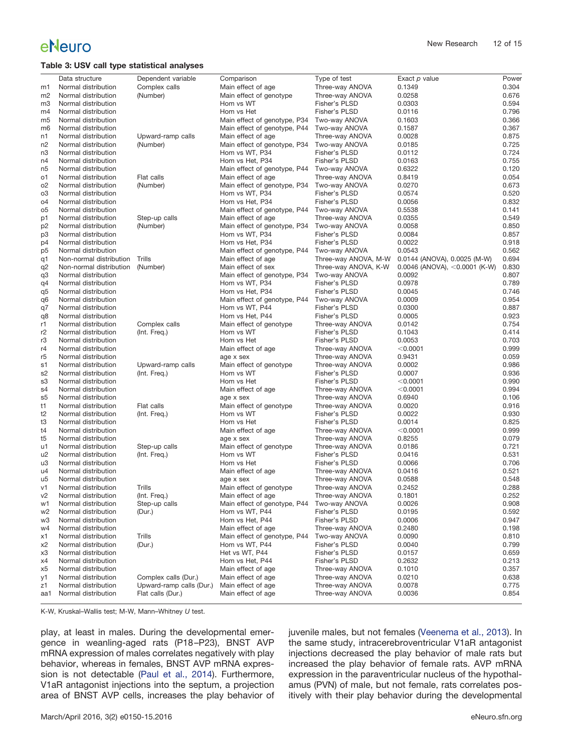#### <span id="page-11-0"></span>**Table 3: USV call type statistical analyses**

|                | Data structure                             | Dependent variable            | Comparison                           | Type of test                     | Exact p value                   | Power          |
|----------------|--------------------------------------------|-------------------------------|--------------------------------------|----------------------------------|---------------------------------|----------------|
| m1             | Normal distribution                        | Complex calls                 | Main effect of age                   | Three-way ANOVA                  | 0.1349                          | 0.304          |
| m <sub>2</sub> | Normal distribution                        | (Number)                      | Main effect of genotype              | Three-way ANOVA                  | 0.0258                          | 0.676          |
| mЗ             | Normal distribution                        |                               | Hom vs WT                            | Fisher's PLSD                    | 0.0303                          | 0.594          |
| m4             | Normal distribution                        |                               | Hom vs Het                           | Fisher's PLSD                    | 0.0116                          | 0.796          |
| m5             | Normal distribution                        |                               | Main effect of genotype, P34         | Two-way ANOVA                    | 0.1603                          | 0.366          |
| m <sub>6</sub> | Normal distribution                        |                               | Main effect of genotype, P44         | Two-way ANOVA                    | 0.1587                          | 0.367          |
| n1             | Normal distribution                        | Upward-ramp calls             | Main effect of age                   | Three-way ANOVA                  | 0.0028                          | 0.875          |
| n <sub>2</sub> | Normal distribution                        | (Number)                      | Main effect of genotype, P34         | Two-way ANOVA                    | 0.0185                          | 0.725          |
| n3             | Normal distribution                        |                               | Hom vs WT, P34                       | Fisher's PLSD                    | 0.0112                          | 0.724          |
| n4             | Normal distribution                        |                               | Hom vs Het, P34                      | Fisher's PLSD                    | 0.0163                          | 0.755          |
| n5             | Normal distribution                        |                               | Main effect of genotype, P44         | Two-way ANOVA                    | 0.6322                          | 0.120          |
| о1             | Normal distribution                        | Flat calls                    | Main effect of age                   | Three-way ANOVA                  | 0.8419                          | 0.054          |
| o <sub>2</sub> | Normal distribution                        | (Number)                      | Main effect of genotype, P34         | Two-way ANOVA                    | 0.0270                          | 0.673          |
| o3             | Normal distribution                        |                               | Hom vs WT, P34                       | Fisher's PLSD                    | 0.0574                          | 0.520          |
| <b>o4</b>      | Normal distribution                        |                               | Hom vs Het. P34                      | <b>Fisher's PLSD</b>             | 0.0056                          | 0.832          |
| o5             | Normal distribution                        |                               | Main effect of genotype, P44         | Two-way ANOVA                    | 0.5538                          | 0.141          |
| p1             | Normal distribution                        | Step-up calls                 | Main effect of age                   | Three-way ANOVA                  | 0.0355                          | 0.549          |
| p <sub>2</sub> | Normal distribution                        | (Number)                      | Main effect of genotype, P34         | Two-way ANOVA                    | 0.0058                          | 0.850          |
| p3             | Normal distribution                        |                               | Hom vs WT, P34                       | Fisher's PLSD                    | 0.0084                          | 0.857          |
| p4             | Normal distribution                        |                               | Hom vs Het, P34                      | Fisher's PLSD                    | 0.0022                          | 0.918          |
| p5             | Normal distribution                        |                               | Main effect of genotype, P44         | Two-way ANOVA                    | 0.0543                          | 0.562          |
| q1             | Non-normal distribution                    | Trills                        | Main effect of age                   | Three-way ANOVA, M-W             | 0.0144 (ANOVA), 0.0025 (M-W)    | 0.694          |
| q2             | Non-normal distribution                    | (Number)                      | Main effect of sex                   | Three-way ANOVA, K-W             | $0.0046$ (ANOVA), <0.0001 (K-W) | 0.830          |
| q3             | Normal distribution                        |                               | Main effect of genotype, P34         | Two-way ANOVA                    | 0.0092                          | 0.807          |
| q4             | Normal distribution                        |                               | Hom vs WT, P34                       | Fisher's PLSD                    | 0.0978                          | 0.789          |
| q5             | Normal distribution                        |                               | Hom vs Het, P34                      | Fisher's PLSD                    | 0.0045                          | 0.746          |
| q6             | Normal distribution                        |                               | Main effect of genotype, P44         | Two-way ANOVA                    | 0.0009                          | 0.954          |
| q7             | Normal distribution                        |                               | Hom vs WT, P44                       | Fisher's PLSD                    | 0.0300                          | 0.887          |
| q8             | Normal distribution                        |                               | Hom vs Het, P44                      | Fisher's PLSD                    | 0.0005                          | 0.923          |
| r1             | Normal distribution                        | Complex calls                 | Main effect of genotype              | Three-way ANOVA                  | 0.0142                          | 0.754          |
| r2             | Normal distribution                        | (Int. Freq.)                  | Hom vs WT                            | Fisher's PLSD                    | 0.1043                          | 0.414          |
| r3             | Normal distribution                        |                               | Hom vs Het                           | Fisher's PLSD                    | 0.0053                          | 0.703          |
| r4             | Normal distribution                        |                               | Main effect of age                   | Three-way ANOVA                  | < 0.0001                        | 0.999          |
| r5             | Normal distribution                        |                               | age x sex                            | Three-way ANOVA                  | 0.9431                          | 0.059          |
| s1             | Normal distribution                        | Upward-ramp calls             | Main effect of genotype              | Three-way ANOVA                  | 0.0002                          | 0.986          |
| s <sub>2</sub> | Normal distribution                        | (Int. Freq.)                  | Hom vs WT                            | Fisher's PLSD                    | 0.0007                          | 0.936          |
| s3             | Normal distribution                        |                               | Hom vs Het                           | Fisher's PLSD                    | < 0.0001                        | 0.990          |
| s4             | Normal distribution                        |                               | Main effect of age                   | Three-way ANOVA                  | < 0.0001                        | 0.994          |
| s5             | Normal distribution                        |                               | age x sex                            | Three-way ANOVA                  | 0.6940                          | 0.106          |
| t1             | Normal distribution                        | Flat calls                    | Main effect of genotype              | Three-way ANOVA                  | 0.0020                          | 0.916          |
| t2             | Normal distribution                        | (Int. Freq.)                  | Hom vs WT                            | Fisher's PLSD                    | 0.0022                          | 0.930          |
| t3<br>t4       | Normal distribution                        |                               | Hom vs Het                           | Fisher's PLSD                    | 0.0014                          | 0.825          |
|                | Normal distribution                        |                               | Main effect of age                   | Three-way ANOVA                  | < 0.0001                        | 0.999          |
| t5             | Normal distribution                        |                               | age x sex                            | Three-way ANOVA                  | 0.8255<br>0.0186                | 0.079<br>0.721 |
| u1<br>u2       | Normal distribution<br>Normal distribution | Step-up calls<br>(Int. Freq.) | Main effect of genotype<br>Hom vs WT | Three-way ANOVA<br>Fisher's PLSD | 0.0416                          | 0.531          |
| u3             | Normal distribution                        |                               | Hom vs Het                           | Fisher's PLSD                    | 0.0066                          | 0.706          |
| u4             | Normal distribution                        |                               | Main effect of age                   | Three-way ANOVA                  | 0.0416                          | 0.521          |
| u5             | Normal distribution                        |                               | age x sex                            | Three-way ANOVA                  | 0.0588                          | 0.548          |
| v1             | Normal distribution                        | Trills                        | Main effect of genotype              | Three-way ANOVA                  | 0.2452                          | 0.288          |
| V <sub>2</sub> | Normal distribution                        | (Int. Freq.)                  | Main effect of age                   | Three-way ANOVA                  | 0.1801                          | 0.252          |
| w1             | Normal distribution                        | Step-up calls                 | Main effect of genotype, P44         | Two-way ANOVA                    | 0.0026                          | 0.908          |
| w2             | Normal distribution                        | (Dur.)                        | Hom vs WT, P44                       | Fisher's PLSD                    | 0.0195                          | 0.592          |
| w3             | Normal distribution                        |                               | Hom vs Het, P44                      | Fisher's PLSD                    | 0.0006                          | 0.947          |
| w4             | Normal distribution                        |                               | Main effect of age                   | Three-way ANOVA                  | 0.2480                          | 0.198          |
| x1             | Normal distribution                        | Trills                        | Main effect of genotype, P44         | Two-way ANOVA                    | 0.0090                          | 0.810          |
| x2             | Normal distribution                        | (Dur.)                        | Hom vs WT, P44                       | Fisher's PLSD                    | 0.0040                          | 0.799          |
| x3             | Normal distribution                        |                               | Het vs WT, P44                       | Fisher's PLSD                    | 0.0157                          | 0.659          |
| x4             | Normal distribution                        |                               | Hom vs Het, P44                      | Fisher's PLSD                    | 0.2632                          | 0.213          |
| x5             | Normal distribution                        |                               | Main effect of age                   | Three-way ANOVA                  | 0.1010                          | 0.357          |
| y1             | Normal distribution                        | Complex calls (Dur.)          | Main effect of age                   | Three-way ANOVA                  | 0.0210                          | 0.638          |
| z1             | Normal distribution                        | Upward-ramp calls (Dur.)      | Main effect of age                   | Three-way ANOVA                  | 0.0078                          | 0.775          |
| aa1            | Normal distribution                        | Flat calls (Dur.)             | Main effect of age                   | Three-way ANOVA                  | 0.0036                          | 0.854          |
|                |                                            |                               |                                      |                                  |                                 |                |

K-W, Kruskal–Wallis test; M-W, Mann–Whitney *U* test.

play, at least in males. During the developmental emergence in weanling-aged rats (P18 –P23), BNST AVP mRNA expression of males correlates negatively with play behavior, whereas in females, BNST AVP mRNA expression is not detectable [\(Paul et al., 2014\)](#page-13-13). Furthermore, V1aR antagonist injections into the septum, a projection area of BNST AVP cells, increases the play behavior of

juvenile males, but not females [\(Veenema et al., 2013\)](#page-14-6). In the same study, intracerebroventricular V1aR antagonist injections decreased the play behavior of male rats but increased the play behavior of female rats. AVP mRNA expression in the paraventricular nucleus of the hypothalamus (PVN) of male, but not female, rats correlates positively with their play behavior during the developmental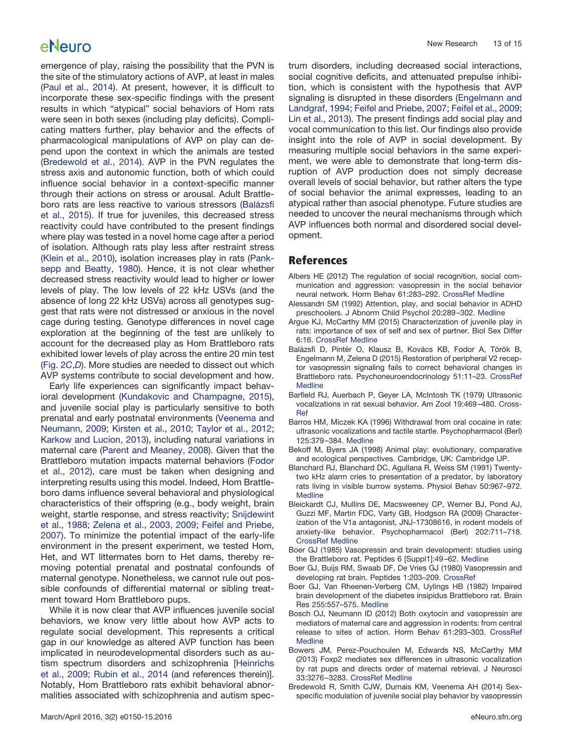emergence of play, raising the possibility that the PVN is the site of the stimulatory actions of AVP, at least in males [\(Paul et al., 2014\)](#page-13-13). At present, however, it is difficult to incorporate these sex-specific findings with the present results in which "atypical" social behaviors of Hom rats were seen in both sexes (including play deficits). Complicating matters further, play behavior and the effects of pharmacological manipulations of AVP on play can depend upon the context in which the animals are tested [\(Bredewold et al., 2014\)](#page-12-4). AVP in the PVN regulates the stress axis and autonomic function, both of which could influence social behavior in a context-specific manner through their actions on stress or arousal. Adult Brattleboro rats are less reactive to various stressors [\(Balázsfi](#page-12-14) [et al., 2015\)](#page-12-14). If true for juveniles, this decreased stress reactivity could have contributed to the present findings where play was tested in a novel home cage after a period of isolation. Although rats play less after restraint stress [\(Klein et al., 2010\)](#page-13-35), isolation increases play in rats [\(Pank](#page-13-32)[sepp and Beatty, 1980\)](#page-13-32). Hence, it is not clear whether decreased stress reactivity would lead to higher or lower levels of play. The low levels of 22 kHz USVs (and the absence of long 22 kHz USVs) across all genotypes suggest that rats were not distressed or anxious in the novel cage during testing. Genotype differences in novel cage exploration at the beginning of the test are unlikely to account for the decreased play as Hom Brattleboro rats exhibited lower levels of play across the entire 20 min test [\(Fig. 2](#page-4-0)*C*,*D*). More studies are needed to dissect out which AVP systems contribute to social development and how.

Early life experiences can significantly impact behavioral development [\(Kundakovic and Champagne, 2015\)](#page-13-36), and juvenile social play is particularly sensitive to both prenatal and early postnatal environments [\(Veenema and](#page-14-25) [Neumann, 2009;](#page-14-25) [Kirsten et al., 2010;](#page-13-37) [Taylor et al., 2012;](#page-14-26) [Karkow and Lucion, 2013\)](#page-13-38), including natural variations in maternal care [\(Parent and Meaney, 2008\)](#page-13-39). Given that the Brattleboro mutation impacts maternal behaviors [\(Fodor](#page-13-34) [et al., 2012\)](#page-13-34), care must be taken when designing and interpreting results using this model. Indeed, Hom Brattleboro dams influence several behavioral and physiological characteristics of their offspring (e.g., body weight, brain weight, startle response, and stress reactivity; [Snijdewint](#page-14-27) [et al., 1988;](#page-14-27) [Zelena et al., 2003, 2009;](#page-14-13) [Feifel and Priebe,](#page-13-40) [2007\)](#page-13-40). To minimize the potential impact of the early-life environment in the present experiment, we tested Hom, Het, and WT littermates born to Het dams, thereby removing potential prenatal and postnatal confounds of maternal genotype. Nonetheless, we cannot rule out possible confounds of differential maternal or sibling treatment toward Hom Brattleboro pups.

While it is now clear that AVP influences juvenile social behaviors, we know very little about how AVP acts to regulate social development. This represents a critical gap in our knowledge as altered AVP function has been implicated in neurodevelopmental disorders such as autism spectrum disorders and schizophrenia [\[Heinrichs](#page-13-41) [et al., 2009;](#page-13-41) [Rubin et al., 2014](#page-14-28) (and references therein)]. Notably, Hom Brattleboro rats exhibit behavioral abnormalities associated with schizophrenia and autism spectrum disorders, including decreased social interactions, social cognitive deficits, and attenuated prepulse inhibition, which is consistent with the hypothesis that AVP signaling is disrupted in these disorders [\(Engelmann and](#page-13-10) [Landgraf, 1994;](#page-13-10) [Feifel and Priebe, 2007;](#page-13-40) [Feifel et al., 2009;](#page-13-11) [Lin et al., 2013\)](#page-13-12). The present findings add social play and vocal communication to this list. Our findings also provide insight into the role of AVP in social development. By measuring multiple social behaviors in the same experiment, we were able to demonstrate that long-term disruption of AVP production does not simply decrease overall levels of social behavior, but rather alters the type of social behavior the animal expresses, leading to an atypical rather than asocial phenotype. Future studies are needed to uncover the neural mechanisms through which AVP influences both normal and disordered social development.

### **References**

- <span id="page-12-2"></span>Albers HE (2012) The regulation of social recognition, social communication and aggression: vasopressin in the social behavior neural network. Horm Behav 61:283–292. [CrossRef](http://dx.doi.org/10.1016/j.yhbeh.2011.10.007) [Medline](http://www.ncbi.nlm.nih.gov/pubmed/22079778)
- <span id="page-12-1"></span>Alessandri SM (1992) Attention, play, and social behavior in ADHD preschoolers. J Abnorm Child Psychol 20:289 –302. [Medline](http://www.ncbi.nlm.nih.gov/pubmed/1619135)
- <span id="page-12-12"></span>Argue KJ, McCarthy MM (2015) Characterization of juvenile play in rats: importance of sex of self and sex of partner. Biol Sex Differ 6:16. [CrossRef](http://dx.doi.org/10.1186/s13293-015-0034-x) [Medline](http://www.ncbi.nlm.nih.gov/pubmed/26361539)
- <span id="page-12-14"></span>Balázsfi D, Pintér O, Klausz B, Kovács KB, Fodor A, Török B, Engelmann M, Zelena D (2015) Restoration of peripheral V2 receptor vasopressin signaling fails to correct behavioral changes in Brattleboro rats. Psychoneuroendocrinology 51:11–23. [CrossRef](http://dx.doi.org/10.1016/j.psyneuen.2014.09.011) **[Medline](http://www.ncbi.nlm.nih.gov/pubmed/25278460)**
- <span id="page-12-8"></span>Barfield RJ, Auerbach P, Geyer LA, McIntosh TK (1979) Ultrasonic vocalizations in rat sexual behavior. Am Zool 19:469 –480. [Cross-](http://dx.doi.org/10.1093/icb/19.2.469)[Ref](http://dx.doi.org/10.1093/icb/19.2.469)
- <span id="page-12-10"></span>Barros HM, Miczek KA (1996) Withdrawal from oral cocaine in rate: ultrasonic vocalizations and tactile startle. Psychopharmacol (Berl) 125:379 –384. [Medline](http://www.ncbi.nlm.nih.gov/pubmed/8826543)
- <span id="page-12-0"></span>Bekoff M, Byers JA (1998) Animal play: evolutionary, comparative and ecological perspectives. Cambridge, UK: Cambridge UP.
- <span id="page-12-9"></span>Blanchard RJ, Blanchard DC, Agullana R, Weiss SM (1991) Twentytwo kHz alarm cries to presentation of a predator, by laboratory rats living in visible burrow systems. Physiol Behav 50:967–972. [Medline](http://www.ncbi.nlm.nih.gov/pubmed/1805287)
- <span id="page-12-13"></span>Bleickardt CJ, Mullins DE, Macsweeney CP, Werner BJ, Pond AJ, Guzzi MF, Martin FDC, Varty GB, Hodgson RA (2009) Characterization of the V1a antagonist, JNJ-17308616, in rodent models of anxiety-like behavior. Psychopharmacol (Berl) 202:711–718. [CrossRef](http://dx.doi.org/10.1007/s00213-008-1354-x) [Medline](http://www.ncbi.nlm.nih.gov/pubmed/18923820)
- <span id="page-12-5"></span>Boer GJ (1985) Vasopressin and brain development: studies using the Brattleboro rat. Peptides 6 [Suppl1]:49 –62. [Medline](http://www.ncbi.nlm.nih.gov/pubmed/4047982)
- <span id="page-12-6"></span>Boer GJ, Buijs RM, Swaab DF, De Vries GJ (1980) Vasopressin and developing rat brain. Peptides 1:203–209. [CrossRef](http://dx.doi.org/10.1016/0196-9781(80)90118-7)
- <span id="page-12-7"></span>Boer GJ, Van Rheenen-Verberg CM, Uylings HB (1982) Impaired brain development of the diabetes insipidus Brattleboro rat. Brain Res 255:557–575. [Medline](http://www.ncbi.nlm.nih.gov/pubmed/7074363)
- <span id="page-12-3"></span>Bosch OJ, Neumann ID (2012) Both oxytocin and vasopressin are mediators of maternal care and aggression in rodents: from central release to sites of action. Horm Behav 61:293–303. [CrossRef](http://dx.doi.org/10.1016/j.yhbeh.2011.11.002) **[Medline](http://www.ncbi.nlm.nih.gov/pubmed/22100184)**
- <span id="page-12-11"></span>Bowers JM, Perez-Pouchoulen M, Edwards NS, McCarthy MM (2013) Foxp2 mediates sex differences in ultrasonic vocalization by rat pups and directs order of maternal retrieval. J Neurosci 33:3276 –3283. [CrossRef](http://dx.doi.org/10.1523/JNEUROSCI.0425-12.2013) [Medline](http://www.ncbi.nlm.nih.gov/pubmed/23426656)
- <span id="page-12-4"></span>Bredewold R, Smith CJW, Dumais KM, Veenema AH (2014) Sexspecific modulation of juvenile social play behavior by vasopressin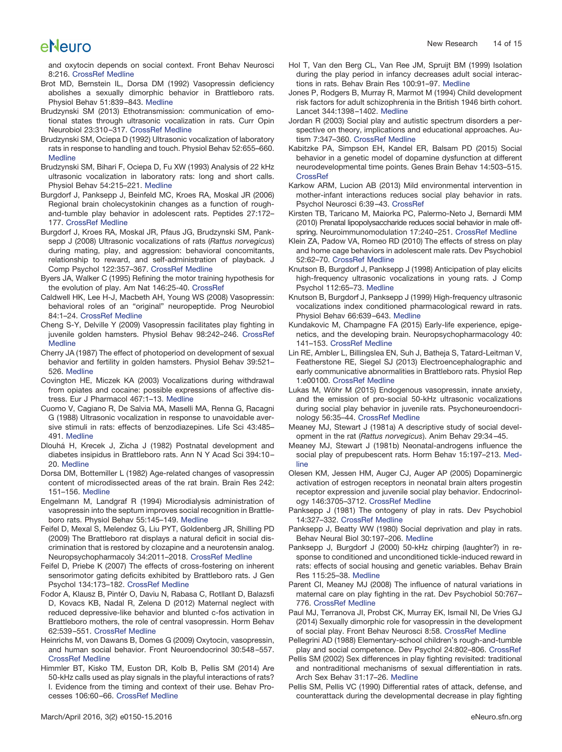and oxytocin depends on social context. Front Behav Neurosci 8:216. [CrossRef](http://dx.doi.org/10.3389/fnbeh.2014.00216) [Medline](http://www.ncbi.nlm.nih.gov/pubmed/24982623)

- <span id="page-13-17"></span>Brot MD, Bernstein IL, Dorsa DM (1992) Vasopressin deficiency abolishes a sexually dimorphic behavior in Brattleboro rats. Physiol Behav 51:839 –843. [Medline](http://www.ncbi.nlm.nih.gov/pubmed/1594683)
- <span id="page-13-4"></span>Brudzynski SM (2013) Ethotransmission: communication of emotional states through ultrasonic vocalization in rats. Curr Opin Neurobiol 23:310 –317. [CrossRef](http://dx.doi.org/10.1016/j.conb.2013.01.014) [Medline](http://www.ncbi.nlm.nih.gov/pubmed/23375168)
- <span id="page-13-24"></span>Brudzynski SM, Ociepa D (1992) Ultrasonic vocalization of laboratory rats in response to handling and touch. Physiol Behav 52:655–660. **[Medline](http://www.ncbi.nlm.nih.gov/pubmed/1409936)**
- <span id="page-13-25"></span>Brudzynski SM, Bihari F, Ociepa D, Fu XW (1993) Analysis of 22 kHz ultrasonic vocalization in laboratory rats: long and short calls. Physiol Behav 54:215–221. [Medline](http://www.ncbi.nlm.nih.gov/pubmed/8372113)
- <span id="page-13-23"></span>Burgdorf J, Panksepp J, Beinfeld MC, Kroes RA, Moskal JR (2006) Regional brain cholecystokinin changes as a function of roughand-tumble play behavior in adolescent rats. Peptides 27:172– 177. [CrossRef](http://dx.doi.org/10.1016/j.peptides.2005.07.005) [Medline](http://www.ncbi.nlm.nih.gov/pubmed/16143427)
- <span id="page-13-20"></span>Burgdorf J, Kroes RA, Moskal JR, Pfaus JG, Brudzynski SM, Panksepp J (2008) Ultrasonic vocalizations of rats (*Rattus norvegicus*) during mating, play, and aggression: behavioral concomitants, relationship to reward, and self-administration of playback. J Comp Psychol 122:357–367. [CrossRef](http://dx.doi.org/10.1037/a0012889) [Medline](http://www.ncbi.nlm.nih.gov/pubmed/19014259)
- <span id="page-13-15"></span>Byers JA, Walker C (1995) Refining the motor training hypothesis for the evolution of play. Am Nat 146:25-40. [CrossRef](http://dx.doi.org/10.1086/285785)
- <span id="page-13-7"></span>Caldwell HK, Lee H-J, Macbeth AH, Young WS (2008) Vasopressin: behavioral roles of an "original" neuropeptide. Prog Neurobiol 84:1–24. [CrossRef](http://dx.doi.org/10.1016/j.pneurobio.2007.10.007) [Medline](http://www.ncbi.nlm.nih.gov/pubmed/18053631)
- <span id="page-13-8"></span>Cheng S-Y, Delville Y (2009) Vasopressin facilitates play fighting in juvenile golden hamsters. Physiol Behav 98:242–246. [CrossRef](http://dx.doi.org/10.1016/j.physbeh.2009.04.019) **[Medline](http://www.ncbi.nlm.nih.gov/pubmed/19414025)**
- <span id="page-13-26"></span>Cherry JA (1987) The effect of photoperiod on development of sexual behavior and fertility in golden hamsters. Physiol Behav 39:521– 526. [Medline](http://www.ncbi.nlm.nih.gov/pubmed/3575500)
- <span id="page-13-22"></span>Covington HE, Miczek KA (2003) Vocalizations during withdrawal from opiates and cocaine: possible expressions of affective distress. Eur J Pharmacol 467:1–13. [Medline](http://www.ncbi.nlm.nih.gov/pubmed/12706449)
- <span id="page-13-21"></span>Cuomo V, Cagiano R, De Salvia MA, Maselli MA, Renna G, Racagni G (1988) Ultrasonic vocalization in response to unavoidable aversive stimuli in rats: effects of benzodiazepines. Life Sci 43:485– 491. [Medline](http://www.ncbi.nlm.nih.gov/pubmed/3136280)
- <span id="page-13-33"></span>Dlouhá H, Krecek J, Zicha J (1982) Postnatal development and diabetes insipidus in Brattleboro rats. Ann N Y Acad Sci 394:10 – 20. [Medline](http://www.ncbi.nlm.nih.gov/pubmed/6960750)
- <span id="page-13-16"></span>Dorsa DM, Bottemiller L (1982) Age-related changes of vasopressin content of microdissected areas of the rat brain. Brain Res 242: 151–156. [Medline](http://www.ncbi.nlm.nih.gov/pubmed/7104725)
- <span id="page-13-10"></span>Engelmann M, Landgraf R (1994) Microdialysis administration of vasopressin into the septum improves social recognition in Brattleboro rats. Physiol Behav 55:145–149. [Medline](http://www.ncbi.nlm.nih.gov/pubmed/8140159)
- <span id="page-13-11"></span>Feifel D, Mexal S, Melendez G, Liu PYT, Goldenberg JR, Shilling PD (2009) The Brattleboro rat displays a natural deficit in social discrimination that is restored by clozapine and a neurotensin analog. Neuropsychopharmacoly 34:2011–2018. [CrossRef](http://dx.doi.org/10.1038/npp.2009.15) [Medline](http://www.ncbi.nlm.nih.gov/pubmed/19322170)
- <span id="page-13-40"></span>Feifel D, Priebe K (2007) The effects of cross-fostering on inherent sensorimotor gating deficits exhibited by Brattleboro rats. J Gen Psychol 134:173–182. [CrossRef](http://dx.doi.org/10.3200/GENP.134.2.172-182) [Medline](http://www.ncbi.nlm.nih.gov/pubmed/17503693)
- <span id="page-13-34"></span>Fodor A, Klausz B, Pintér O, Daviu N, Rabasa C, Rotllant D, Balazsfi D, Kovacs KB, Nadal R, Zelena D (2012) Maternal neglect with reduced depressive-like behavior and blunted c-fos activation in Brattleboro mothers, the role of central vasopressin. Horm Behav 62:539 –551. [CrossRef](http://dx.doi.org/10.1016/j.yhbeh.2012.09.003) [Medline](http://www.ncbi.nlm.nih.gov/pubmed/23006866)
- <span id="page-13-41"></span>Heinrichs M, von Dawans B, Domes G (2009) Oxytocin, vasopressin, and human social behavior. Front Neuroendocrinol 30:548 –557. [CrossRef](http://dx.doi.org/10.1016/j.yfrne.2009.05.005) [Medline](http://www.ncbi.nlm.nih.gov/pubmed/19505497)
- <span id="page-13-28"></span>Himmler BT, Kisko TM, Euston DR, Kolb B, Pellis SM (2014) Are 50-kHz calls used as play signals in the playful interactions of rats? I. Evidence from the timing and context of their use. Behav Processes 106:60 –66. [CrossRef](http://dx.doi.org/10.1016/j.beproc.2014.04.014) [Medline](http://www.ncbi.nlm.nih.gov/pubmed/24811452)
- <span id="page-13-3"></span>Hol T, Van den Berg CL, Van Ree JM, Spruijt BM (1999) Isolation during the play period in infancy decreases adult social interactions in rats. Behav Brain Res 100:91–97. [Medline](http://www.ncbi.nlm.nih.gov/pubmed/10212056)
- <span id="page-13-5"></span>Jones P, Rodgers B, Murray R, Marmot M (1994) Child development risk factors for adult schizophrenia in the British 1946 birth cohort. Lancet 344:1398 –1402. [Medline](http://www.ncbi.nlm.nih.gov/pubmed/7968076)
- <span id="page-13-6"></span>Jordan R (2003) Social play and autistic spectrum disorders a perspective on theory, implications and educational approaches. Autism 7:347–360. [CrossRef](http://dx.doi.org/10.1177/1362361303007004002) [Medline](http://www.ncbi.nlm.nih.gov/pubmed/14678675)
- <span id="page-13-27"></span>Kabitzke PA, Simpson EH, Kandel ER, Balsam PD (2015) Social behavior in a genetic model of dopamine dysfunction at different neurodevelopmental time points. Genes Brain Behav 14:503–515. **[CrossRef](http://dx.doi.org/10.1111/gbb.12233)**
- <span id="page-13-38"></span>Karkow ARM, Lucion AB (2013) Mild environmental intervention in mother-infant interactions reduces social play behavior in rats. Psychol Neurosci 6:39 –43. [CrossRef](http://dx.doi.org/10.3922/j.psns.2013.1.07)
- <span id="page-13-37"></span>Kirsten TB, Taricano M, Maiorka PC, Palermo-Neto J, Bernardi MM (2010) Prenatal lipopolysaccharide reduces social behavior in male offspring. Neuroimmunomodulation 17:240 –251. [CrossRef](http://dx.doi.org/10.1159/000290040) [Medline](http://www.ncbi.nlm.nih.gov/pubmed/20203530)
- <span id="page-13-35"></span>Klein ZA, Padow VA, Romeo RD (2010) The effects of stress on play and home cage behaviors in adolescent male rats. Dev Psychobiol 52:62–70. [CrossRef](http://dx.doi.org/10.1002/dev.20413) [Medline](http://www.ncbi.nlm.nih.gov/pubmed/19937741)
- Knutson B, Burgdorf J, Panksepp J (1998) Anticipation of play elicits high-frequency ultrasonic vocalizations in young rats. J Comp Psychol 112:65–73. [Medline](http://www.ncbi.nlm.nih.gov/pubmed/9528115)
- <span id="page-13-18"></span>Knutson B, Burgdorf J, Panksepp J (1999) High-frequency ultrasonic vocalizations index conditioned pharmacological reward in rats. Physiol Behav 66:639 –643. [Medline](http://www.ncbi.nlm.nih.gov/pubmed/10386908)
- <span id="page-13-36"></span>Kundakovic M, Champagne FA (2015) Early-life experience, epigenetics, and the developing brain. Neuropsychopharmacology 40: 141–153. [CrossRef](http://dx.doi.org/10.1038/npp.2014.140) [Medline](http://www.ncbi.nlm.nih.gov/pubmed/24917200)
- <span id="page-13-12"></span>Lin RE, Ambler L, Billingslea EN, Suh J, Batheja S, Tatard-Leitman V, Featherstone RE, Siegel SJ (2013) Electroencephalographic and early communicative abnormalities in Brattleboro rats. Physiol Rep 1:e00100. [CrossRef](http://dx.doi.org/10.1002/phy2.100) [Medline](http://www.ncbi.nlm.nih.gov/pubmed/24303172)
- <span id="page-13-9"></span>Lukas M, Wöhr M (2015) Endogenous vasopressin, innate anxiety, and the emission of pro-social 50-kHz ultrasonic vocalizations during social play behavior in juvenile rats. Psychoneuroendocrinology 56:35–44. [CrossRef](http://dx.doi.org/10.1016/j.psyneuen.2015.03.005) [Medline](http://www.ncbi.nlm.nih.gov/pubmed/25800147)
- <span id="page-13-14"></span>Meaney MJ, Stewart J (1981a) A descriptive study of social development in the rat (*Rattus norvegicus*). Anim Behav 29:34 –45.
- <span id="page-13-29"></span>Meaney MJ, Stewart J (1981b) Neonatal-androgens influence the social play of prepubescent rats. Horm Behav 15:197–213. [Med](http://www.ncbi.nlm.nih.gov/pubmed/7250910)[line](http://www.ncbi.nlm.nih.gov/pubmed/7250910)
- <span id="page-13-31"></span>Olesen KM, Jessen HM, Auger CJ, Auger AP (2005) Dopaminergic activation of estrogen receptors in neonatal brain alters progestin receptor expression and juvenile social play behavior. Endocrinology 146:3705–3712. [CrossRef](http://dx.doi.org/10.1210/en.2005-0498) [Medline](http://www.ncbi.nlm.nih.gov/pubmed/15919740)
- <span id="page-13-0"></span>Panksepp J (1981) The ontogeny of play in rats. Dev Psychobiol 14:327–332. [CrossRef](http://dx.doi.org/10.1002/dev.420140405) [Medline](http://www.ncbi.nlm.nih.gov/pubmed/7250521)
- <span id="page-13-32"></span>Panksepp J, Beatty WW (1980) Social deprivation and play in rats. Behav Neural Biol 30:197–206. [Medline](http://www.ncbi.nlm.nih.gov/pubmed/7447871)
- <span id="page-13-19"></span>Panksepp J, Burgdorf J (2000) 50-kHz chirping (laughter?) in response to conditioned and unconditioned tickle-induced reward in rats: effects of social housing and genetic variables. Behav Brain Res 115:25–38. [Medline](http://www.ncbi.nlm.nih.gov/pubmed/10996405)
- <span id="page-13-39"></span>Parent CI, Meaney MJ (2008) The influence of natural variations in maternal care on play fighting in the rat. Dev Psychobiol 50:767– 776. [CrossRef](http://dx.doi.org/10.1002/dev.20342) [Medline](http://www.ncbi.nlm.nih.gov/pubmed/18846499)
- <span id="page-13-13"></span>Paul MJ, Terranova JI, Probst CK, Murray EK, Ismail NI, De Vries GJ (2014) Sexually dimorphic role for vasopressin in the development of social play. Front Behav Neurosci 8:58. [CrossRef](http://dx.doi.org/10.3389/fnbeh.2014.00058) [Medline](http://www.ncbi.nlm.nih.gov/pubmed/24616675)
- <span id="page-13-2"></span>Pellegrini AD (1988) Elementary-school children's rough-and-tumble play and social competence. Dev Psychol 24:802–806. [CrossRef](http://dx.doi.org/10.1037/0012-1649.24.6.802)
- <span id="page-13-30"></span>Pellis SM (2002) Sex differences in play fighting revisited: traditional and nontraditional mechanisms of sexual differentiation in rats. Arch Sex Behav 31:17–26. [Medline](http://www.ncbi.nlm.nih.gov/pubmed/11910788)
- <span id="page-13-1"></span>Pellis SM, Pellis VC (1990) Differential rates of attack, defense, and counterattack during the developmental decrease in play fighting